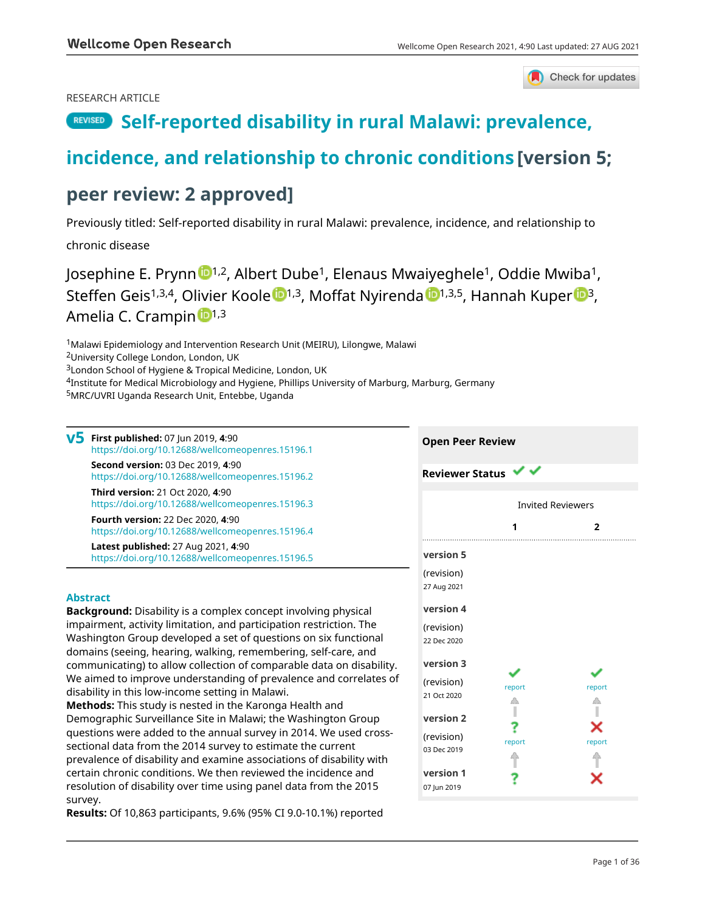#### RESEARCH ARTICLE



# **[Self-reported disability in rural Malawi: prevalence,](https://wellcomeopenresearch.org/articles/4-90/v5)**

# **[incidence, and relationship to chronic conditions](https://wellcomeopenresearch.org/articles/4-90/v5) [version 5;**

# **peer review: 2 approved]**

Previously titled: Self-reported disability in rural Malawi: prevalence, incidence, and relationship to

chronic disease

Josephine E. Prynn 1,2, Albert Dube<sup>1</sup>, Elenaus Mwaiyeghele<sup>1</sup>, Oddie Mwiba<sup>1</sup>, St[e](https://orcid.org/0000-0002-1122-5382)ffen Geis<sup>1,3,4</sup>, Olivier Koole <sup>1,3</sup>, Moff[a](https://orcid.org/0000-0003-2120-4806)t Nyi[r](https://orcid.org/0000-0002-8952-0023)enda <sup>1,3,5</sup>, Hannah Kuper <sup>13</sup>, Amelia C. Crampi[n](https://orcid.org/0000-0002-1513-4330) <sup>1,3</sup>

<sup>1</sup>Malawi Epidemiology and Intervention Research Unit (MEIRU), Lilongwe, Malawi

<sup>2</sup>University College London, London, UK

<sup>3</sup>London School of Hygiene & Tropical Medicine, London, UK

<sup>4</sup>Institute for Medical Microbiology and Hygiene, Phillips University of Marburg, Marburg, Germany

<sup>5</sup>MRC/UVRI Uganda Research Unit, Entebbe, Uganda

**First published:** 07 Jun 2019, **4**:90 **v5** <https://doi.org/10.12688/wellcomeopenres.15196.1> **Second version:** 03 Dec 2019, **4**:90 <https://doi.org/10.12688/wellcomeopenres.15196.2> **Third version:** 21 Oct 2020, **4**:90 <https://doi.org/10.12688/wellcomeopenres.15196.3> **Fourth version:** 22 Dec 2020, **4**:90 <https://doi.org/10.12688/wellcomeopenres.15196.4> **Latest published:** 27 Aug 2021, **4**:90 <https://doi.org/10.12688/wellcomeopenres.15196.5>

#### **Abstract**

**Background:** Disability is a complex concept involving physical impairment, activity limitation, and participation restriction. The Washington Group developed a set of questions on six functional domains (seeing, hearing, walking, remembering, self-care, and communicating) to allow collection of comparable data on disability. We aimed to improve understanding of prevalence and correlates of disability in this low-income setting in Malawi.

**Methods:** This study is nested in the Karonga Health and Demographic Surveillance Site in Malawi; the Washington Group questions were added to the annual survey in 2014. We used crosssectional data from the 2014 survey to estimate the current prevalence of disability and examine associations of disability with certain chronic conditions. We then reviewed the incidence and resolution of disability over time using panel data from the 2015 survey.

**Results:** Of 10,863 participants, 9.6% (95% CI 9.0-10.1%) reported

| <b>Reviewer Status</b>    |                          |        |
|---------------------------|--------------------------|--------|
|                           | <b>Invited Reviewers</b> |        |
| .                         | 1                        | 2      |
| version 5                 |                          |        |
| (revision)<br>27 Aug 2021 |                          |        |
| version 4                 |                          |        |
| (revision)<br>22 Dec 2020 |                          |        |
| version 3                 |                          |        |
| (revision)<br>21 Oct 2020 | report                   | report |
| version 2                 |                          |        |
| (revision)<br>03 Dec 2019 | report                   | report |
| version 1<br>07 Jun 2019  |                          |        |

**Open Peer Review**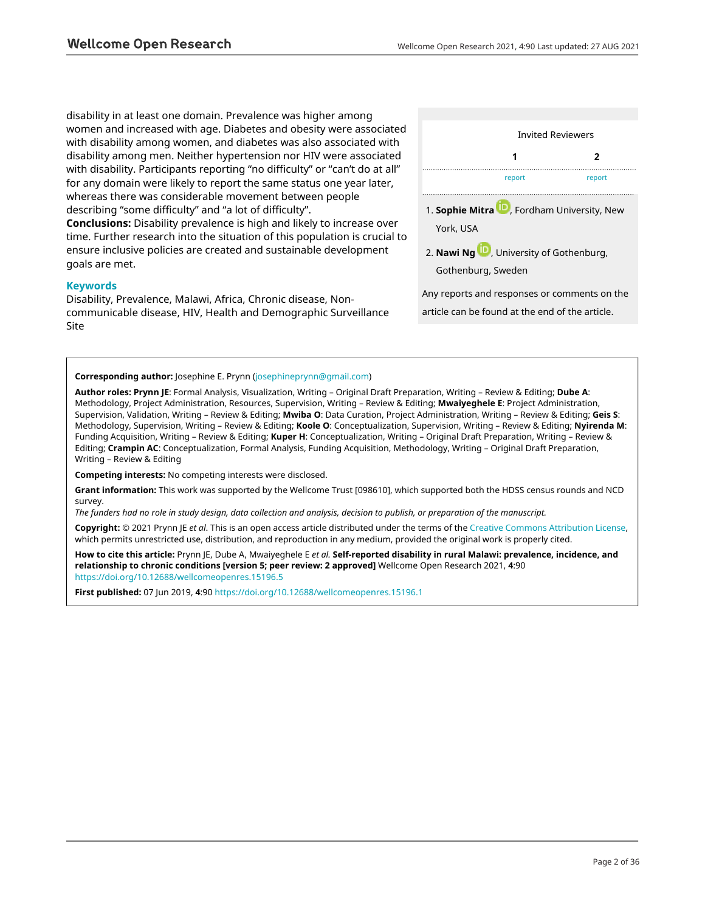disability in at least one domain. Prevalence was higher among women and increased with age. Diabetes and obesity were associated with disability among women, and diabetes was also associated with disability among men. Neither hypertension nor HIV were associated with disability. Participants reporting "no difficulty" or "can't do at all" for any domain were likely to report the same status one year later, whereas there was considerable movement between people describing "some difficulty" and "a lot of difficulty".

**Conclusions:** Disability prevalence is high and likely to increase over time. Further research into the situation of this population is crucial to ensure inclusive policies are created and sustainable development goals are met.

#### **Keywords**

Disability, Prevalence, Malawi, Africa, Chronic disease, Noncommunicable disease, HIV, Health and Demographic Surveillance Site



Any reports and responses or comments on the article can be found at the end of the article.

#### **Corresponding author:** Josephine E. Prynn ([josephineprynn@gmail.com\)](mailto:josephineprynn@gmail.com)

**Author roles: Prynn JE**: Formal Analysis, Visualization, Writing – Original Draft Preparation, Writing – Review & Editing; **Dube A**: Methodology, Project Administration, Resources, Supervision, Writing – Review & Editing; **Mwaiyeghele E**: Project Administration, Supervision, Validation, Writing – Review & Editing; **Mwiba O**: Data Curation, Project Administration, Writing – Review & Editing; **Geis S**: Methodology, Supervision, Writing – Review & Editing; **Koole O**: Conceptualization, Supervision, Writing – Review & Editing; **Nyirenda M**: Funding Acquisition, Writing – Review & Editing; **Kuper H**: Conceptualization, Writing – Original Draft Preparation, Writing – Review & Editing; **Crampin AC**: Conceptualization, Formal Analysis, Funding Acquisition, Methodology, Writing – Original Draft Preparation, Writing – Review & Editing

**Competing interests:** No competing interests were disclosed.

**Grant information:** This work was supported by the Wellcome Trust [098610], which supported both the HDSS census rounds and NCD survey.

*The funders had no role in study design, data collection and analysis, decision to publish, or preparation of the manuscript.*

**Copyright:** © 2021 Prynn JE *et al*. This is an open access article distributed under the terms of the [Creative Commons Attribution License,](http://creativecommons.org/licenses/by/4.0/) which permits unrestricted use, distribution, and reproduction in any medium, provided the original work is properly cited.

**How to cite this article:** Prynn JE, Dube A, Mwaiyeghele E *et al.* **Self-reported disability in rural Malawi: prevalence, incidence, and relationship to chronic conditions [version 5; peer review: 2 approved]** Wellcome Open Research 2021, **4**:90 <https://doi.org/10.12688/wellcomeopenres.15196.5>

**First published:** 07 Jun 2019, **4**:90 <https://doi.org/10.12688/wellcomeopenres.15196.1>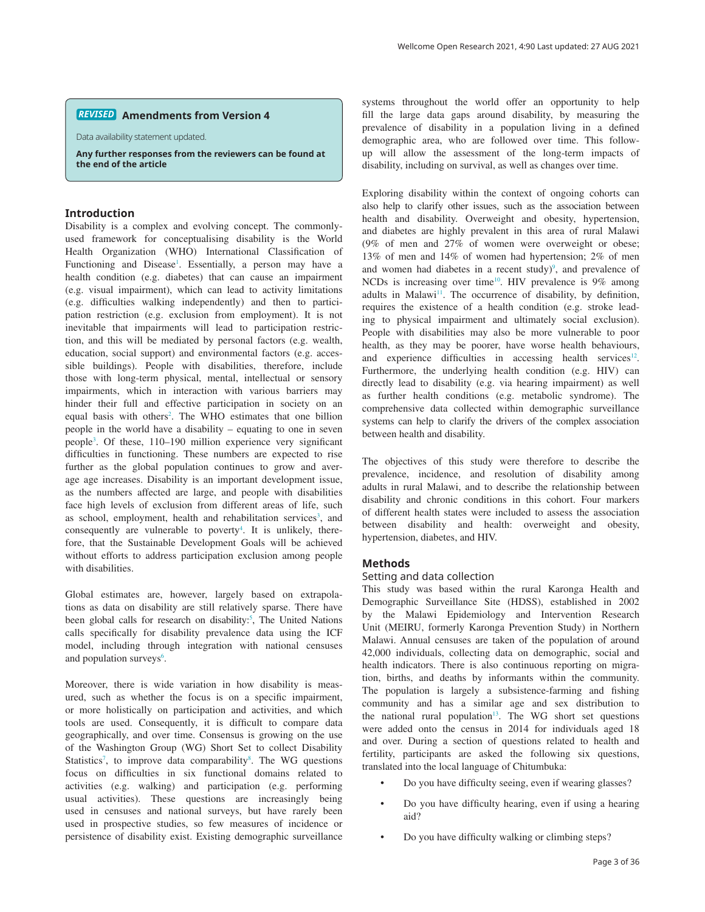#### **Amendments from Version 4** *REVISED*

Data availability statement updated.

**Any further responses from the reviewers can be found at the end of the article**

#### **Introduction**

Disability is a complex and evolving concept. The commonlyused framework for conceptualising disability is the World Health Organization (WHO) International Classification of Functioning and Disease<sup>[1](#page-14-0)</sup>. Essentially, a person may have a health condition (e.g. diabetes) that can cause an impairment (e.g. visual impairment), which can lead to activity limitations (e.g. difficulties walking independently) and then to participation restriction (e.g. exclusion from employment). It is not inevitable that impairments will lead to participation restriction, and this will be mediated by personal factors (e.g. wealth, education, social support) and environmental factors (e.g. accessible buildings). People with disabilities, therefore, include those with long-term physical, mental, intellectual or sensory impairments, which in interaction with various barriers may hinder their full and effective participation in society on an equal basis with others<sup>2</sup>. The WHO estimates that one billion people in the world have a disability – equating to one in seven people[3](#page-14-0) . Of these, 110–190 million experience very significant difficulties in functioning. These numbers are expected to rise further as the global population continues to grow and average age increases. Disability is an important development issue, as the numbers affected are large, and people with disabilities face high levels of exclusion from different areas of life, such as school, employment, health and rehabilitation services<sup>3</sup>, and consequently are vulnerable to poverty<sup>4</sup>. It is unlikely, therefore, that the Sustainable Development Goals will be achieved without efforts to address participation exclusion among people with disabilities.

Global estimates are, however, largely based on extrapolations as data on disability are still relatively sparse. There have been global calls for research on disability:<sup>[5](#page-14-0)</sup>, The United Nations calls specifically for disability prevalence data using the ICF model, including through integration with national censuses and population surveys<sup>[6](#page-14-0)</sup>.

Moreover, there is wide variation in how disability is measured, such as whether the focus is on a specific impairment, or more holistically on participation and activities, and which tools are used. Consequently, it is difficult to compare data geographically, and over time. Consensus is growing on the use of the Washington Group (WG) Short Set to collect Disability Statistics<sup>7</sup>, to improve data comparability<sup>8</sup>. The WG questions focus on difficulties in six functional domains related to activities (e.g. walking) and participation (e.g. performing usual activities). These questions are increasingly being used in censuses and national surveys, but have rarely been used in prospective studies, so few measures of incidence or persistence of disability exist. Existing demographic surveillance systems throughout the world offer an opportunity to help fill the large data gaps around disability, by measuring the prevalence of disability in a population living in a defined demographic area, who are followed over time. This followup will allow the assessment of the long-term impacts of disability, including on survival, as well as changes over time.

Exploring disability within the context of ongoing cohorts can also help to clarify other issues, such as the association between health and disability. Overweight and obesity, hypertension, and diabetes are highly prevalent in this area of rural Malawi (9% of men and 27% of women were overweight or obese; 13% of men and 14% of women had hypertension; 2% of men and women had diabetes in a recent study)<sup>[9](#page-14-0)</sup>, and prevalence of NCDs is increasing over time<sup>10</sup>. HIV prevalence is  $9\%$  among adults in Malawi<sup>11</sup>. The occurrence of disability, by definition, requires the existence of a health condition (e.g. stroke leading to physical impairment and ultimately social exclusion). People with disabilities may also be more vulnerable to poor health, as they may be poorer, have worse health behaviours, and experience difficulties in accessing health services<sup>12</sup>. Furthermore, the underlying health condition (e.g. HIV) can directly lead to disability (e.g. via hearing impairment) as well as further health conditions (e.g. metabolic syndrome). The comprehensive data collected within demographic surveillance systems can help to clarify the drivers of the complex association between health and disability.

The objectives of this study were therefore to describe the prevalence, incidence, and resolution of disability among adults in rural Malawi, and to describe the relationship between disability and chronic conditions in this cohort. Four markers of different health states were included to assess the association between disability and health: overweight and obesity, hypertension, diabetes, and HIV.

#### **Methods**

#### Setting and data collection

This study was based within the rural Karonga Health and Demographic Surveillance Site (HDSS), established in 2002 by the Malawi Epidemiology and Intervention Research Unit (MEIRU, formerly Karonga Prevention Study) in Northern Malawi. Annual censuses are taken of the population of around 42,000 individuals, collecting data on demographic, social and health indicators. There is also continuous reporting on migration, births, and deaths by informants within the community. The population is largely a subsistence-farming and fishing community and has a similar age and sex distribution to the national rural population<sup>[13](#page-14-0)</sup>. The WG short set questions were added onto the census in 2014 for individuals aged 18 and over. During a section of questions related to health and fertility, participants are asked the following six questions, translated into the local language of Chitumbuka:

- Do you have difficulty seeing, even if wearing glasses?
- Do you have difficulty hearing, even if using a hearing aid?
- Do you have difficulty walking or climbing steps?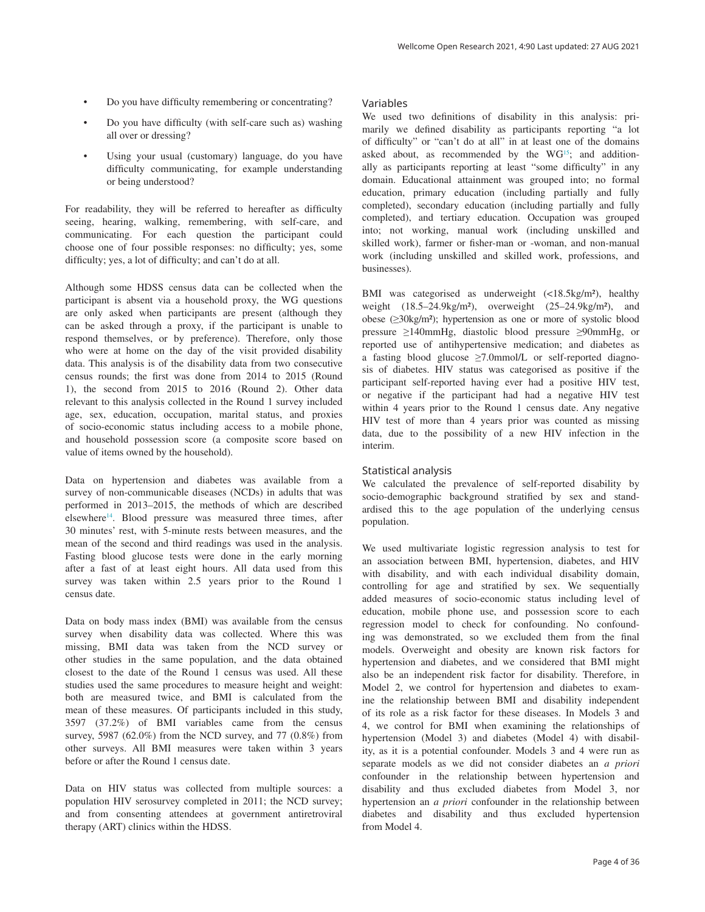- Do you have difficulty remembering or concentrating?
- Do you have difficulty (with self-care such as) washing all over or dressing?
- Using your usual (customary) language, do you have difficulty communicating, for example understanding or being understood?

For readability, they will be referred to hereafter as difficulty seeing, hearing, walking, remembering, with self-care, and communicating. For each question the participant could choose one of four possible responses: no difficulty; yes, some difficulty; yes, a lot of difficulty; and can't do at all.

Although some HDSS census data can be collected when the participant is absent via a household proxy, the WG questions are only asked when participants are present (although they can be asked through a proxy, if the participant is unable to respond themselves, or by preference). Therefore, only those who were at home on the day of the visit provided disability data. This analysis is of the disability data from two consecutive census rounds; the first was done from 2014 to 2015 (Round 1), the second from 2015 to 2016 (Round 2). Other data relevant to this analysis collected in the Round 1 survey included age, sex, education, occupation, marital status, and proxies of socio-economic status including access to a mobile phone, and household possession score (a composite score based on value of items owned by the household).

Data on hypertension and diabetes was available from a survey of non-communicable diseases (NCDs) in adults that was performed in 2013–2015, the methods of which are described elsewhere<sup>14</sup>. Blood pressure was measured three times, after 30 minutes' rest, with 5-minute rests between measures, and the mean of the second and third readings was used in the analysis. Fasting blood glucose tests were done in the early morning after a fast of at least eight hours. All data used from this survey was taken within 2.5 years prior to the Round 1 census date.

Data on body mass index (BMI) was available from the census survey when disability data was collected. Where this was missing, BMI data was taken from the NCD survey or other studies in the same population, and the data obtained closest to the date of the Round 1 census was used. All these studies used the same procedures to measure height and weight: both are measured twice, and BMI is calculated from the mean of these measures. Of participants included in this study, 3597 (37.2%) of BMI variables came from the census survey, 5987 (62.0%) from the NCD survey, and 77 (0.8%) from other surveys. All BMI measures were taken within 3 years before or after the Round 1 census date.

Data on HIV status was collected from multiple sources: a population HIV serosurvey completed in 2011; the NCD survey; and from consenting attendees at government antiretroviral therapy (ART) clinics within the HDSS.

#### Variables

We used two definitions of disability in this analysis: primarily we defined disability as participants reporting "a lot of difficulty" or "can't do at all" in at least one of the domains asked about, as recommended by the WG<sup>15</sup>; and additionally as participants reporting at least "some difficulty" in any domain. Educational attainment was grouped into; no formal education, primary education (including partially and fully completed), secondary education (including partially and fully completed), and tertiary education. Occupation was grouped into; not working, manual work (including unskilled and skilled work), farmer or fisher-man or -woman, and non-manual work (including unskilled and skilled work, professions, and businesses).

BMI was categorised as underweight (<18.5kg/m²), healthy weight  $(18.5-24.9\text{kg/m}^2)$ , overweight  $(25-24.9\text{kg/m}^2)$ , and obese (≥30kg/m²); hypertension as one or more of systolic blood pressure ≥140mmHg, diastolic blood pressure ≥90mmHg, or reported use of antihypertensive medication; and diabetes as a fasting blood glucose ≥7.0mmol/L or self-reported diagnosis of diabetes. HIV status was categorised as positive if the participant self-reported having ever had a positive HIV test, or negative if the participant had had a negative HIV test within 4 years prior to the Round 1 census date. Any negative HIV test of more than 4 years prior was counted as missing data, due to the possibility of a new HIV infection in the interim.

#### Statistical analysis

We calculated the prevalence of self-reported disability by socio-demographic background stratified by sex and standardised this to the age population of the underlying census population.

We used multivariate logistic regression analysis to test for an association between BMI, hypertension, diabetes, and HIV with disability, and with each individual disability domain, controlling for age and stratified by sex. We sequentially added measures of socio-economic status including level of education, mobile phone use, and possession score to each regression model to check for confounding. No confounding was demonstrated, so we excluded them from the final models. Overweight and obesity are known risk factors for hypertension and diabetes, and we considered that BMI might also be an independent risk factor for disability. Therefore, in Model 2, we control for hypertension and diabetes to examine the relationship between BMI and disability independent of its role as a risk factor for these diseases. In Models 3 and 4, we control for BMI when examining the relationships of hypertension (Model 3) and diabetes (Model 4) with disability, as it is a potential confounder. Models 3 and 4 were run as separate models as we did not consider diabetes an *a priori* confounder in the relationship between hypertension and disability and thus excluded diabetes from Model 3, nor hypertension an *a priori* confounder in the relationship between diabetes and disability and thus excluded hypertension from Model 4.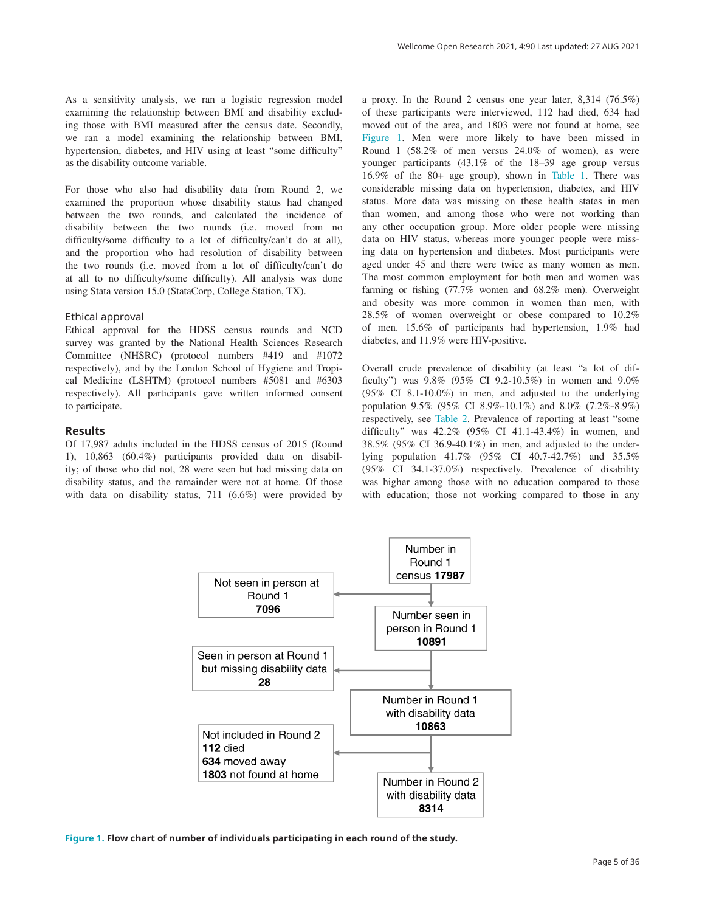As a sensitivity analysis, we ran a logistic regression model examining the relationship between BMI and disability excluding those with BMI measured after the census date. Secondly, we ran a model examining the relationship between BMI, hypertension, diabetes, and HIV using at least "some difficulty" as the disability outcome variable.

For those who also had disability data from Round 2, we examined the proportion whose disability status had changed between the two rounds, and calculated the incidence of disability between the two rounds (i.e. moved from no difficulty/some difficulty to a lot of difficulty/can't do at all), and the proportion who had resolution of disability between the two rounds (i.e. moved from a lot of difficulty/can't do at all to no difficulty/some difficulty). All analysis was done using Stata version 15.0 (StataCorp, College Station, TX).

#### Ethical approval

Ethical approval for the HDSS census rounds and NCD survey was granted by the National Health Sciences Research Committee (NHSRC) (protocol numbers #419 and #1072 respectively), and by the London School of Hygiene and Tropical Medicine (LSHTM) (protocol numbers #5081 and #6303 respectively). All participants gave written informed consent to participate.

#### **Results**

Of 17,987 adults included in the HDSS census of 2015 (Round 1), 10,863 (60.4%) participants provided data on disability; of those who did not, 28 were seen but had missing data on disability status, and the remainder were not at home. Of those with data on disability status, 711 (6.6%) were provided by a proxy. In the Round 2 census one year later, 8,314 (76.5%) of these participants were interviewed, 112 had died, 634 had moved out of the area, and 1803 were not found at home, see Figure 1. Men were more likely to have been missed in Round 1 (58.2% of men versus 24.0% of women), as were younger participants (43.1% of the 18–39 age group versus 16.9% of the 80+ age group), shown in [Table 1.](#page-5-0) There was considerable missing data on hypertension, diabetes, and HIV status. More data was missing on these health states in men than women, and among those who were not working than any other occupation group. More older people were missing data on HIV status, whereas more younger people were missing data on hypertension and diabetes. Most participants were aged under 45 and there were twice as many women as men. The most common employment for both men and women was farming or fishing (77.7% women and 68.2% men). Overweight and obesity was more common in women than men, with 28.5% of women overweight or obese compared to 10.2% of men. 15.6% of participants had hypertension, 1.9% had diabetes, and 11.9% were HIV-positive.

Overall crude prevalence of disability (at least "a lot of difficulty") was 9.8% (95% CI 9.2-10.5%) in women and 9.0% (95% CI 8.1-10.0%) in men, and adjusted to the underlying population 9.5% (95% CI 8.9%-10.1%) and 8.0% (7.2%-8.9%) respectively, see [Table 2.](#page-7-0) Prevalence of reporting at least "some difficulty" was 42.2% (95% CI 41.1-43.4%) in women, and 38.5% (95% CI 36.9-40.1%) in men, and adjusted to the underlying population 41.7% (95% CI 40.7-42.7%) and 35.5% (95% CI 34.1-37.0%) respectively. Prevalence of disability was higher among those with no education compared to those with education; those not working compared to those in any



**Figure 1. Flow chart of number of individuals participating in each round of the study.**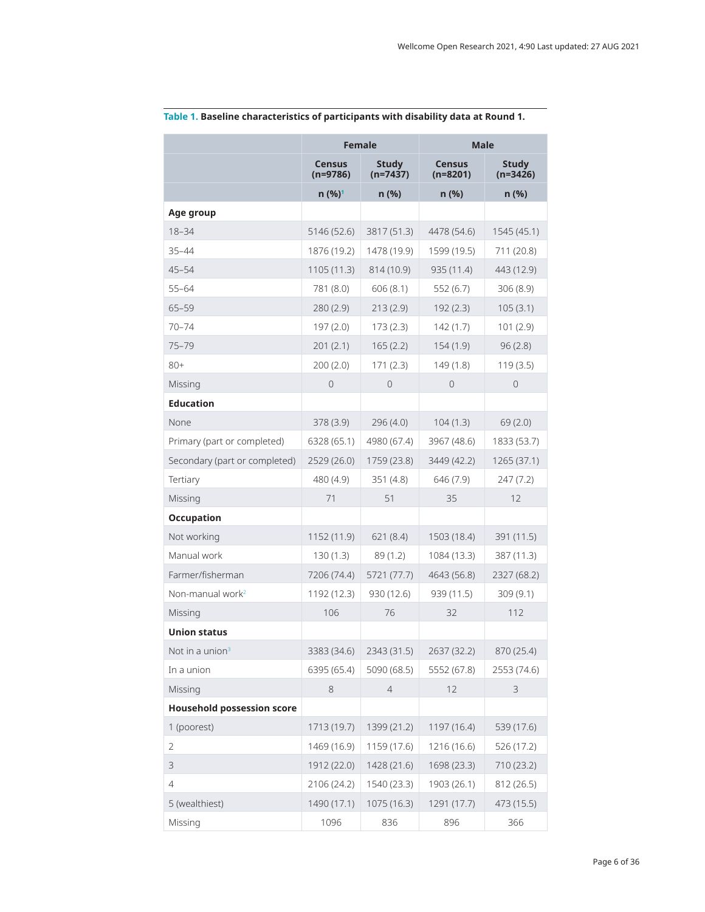|                                   | <b>Female</b>               |                     | <b>Male</b>                 |                            |  |  |
|-----------------------------------|-----------------------------|---------------------|-----------------------------|----------------------------|--|--|
|                                   | <b>Census</b><br>$(n=9786)$ | Study<br>$(n=7437)$ | <b>Census</b><br>$(n=8201)$ | <b>Study</b><br>$(n=3426)$ |  |  |
|                                   | n (%) <sup>1</sup>          | n(%)                | n(%)                        | n(%)                       |  |  |
| Age group                         |                             |                     |                             |                            |  |  |
| $18 - 34$                         | 5146 (52.6)                 | 3817 (51.3)         | 4478 (54.6)                 | 1545 (45.1)                |  |  |
| $35 - 44$                         | 1876 (19.2)                 | 1478 (19.9)         | 1599 (19.5)                 | 711 (20.8)                 |  |  |
| $45 - 54$                         | 1105 (11.3)                 | 814 (10.9)          | 935 (11.4)                  | 443 (12.9)                 |  |  |
| $55 - 64$                         | 781 (8.0)                   | 606(8.1)            | 552(6.7)                    | 306(8.9)                   |  |  |
| $65 - 59$                         | 280(2.9)                    | 213(2.9)            | 192(2.3)                    | 105(3.1)                   |  |  |
| $70 - 74$                         | 197 (2.0)                   | 173 (2.3)           | 142 (1.7)                   | 101 (2.9)                  |  |  |
| 75-79                             | 201(2.1)<br>165(2.2)        |                     | 154 (1.9)                   | 96(2.8)                    |  |  |
| $80+$                             | 200(2.0)                    | 171(2.3)            | 149 (1.8)                   | 119(3.5)                   |  |  |
| Missing                           | $\overline{0}$              | $\mathbf{0}$        | $\Omega$                    | 0                          |  |  |
| <b>Education</b>                  |                             |                     |                             |                            |  |  |
| <b>None</b>                       | 378 (3.9)                   | 296(4.0)            | 104(1.3)                    | 69(2.0)                    |  |  |
| Primary (part or completed)       | 6328 (65.1)                 | 4980 (67.4)         | 3967 (48.6)                 | 1833 (53.7)                |  |  |
| Secondary (part or completed)     | 2529 (26.0)                 | 1759 (23.8)         | 3449 (42.2)                 | 1265 (37.1)                |  |  |
| Tertiary                          | 480 (4.9)                   | 351(4.8)            | 646 (7.9)                   | 247(7.2)                   |  |  |
| Missing                           | 71                          | 51                  | 35                          | 12                         |  |  |
| <b>Occupation</b>                 |                             |                     |                             |                            |  |  |
| Not working                       | 1152 (11.9)                 | 621(8.4)            | 1503 (18.4)                 | 391 (11.5)                 |  |  |
| Manual work                       | 130(1.3)                    | 89 (1.2)            | 1084 (13.3)                 | 387 (11.3)                 |  |  |
| Farmer/fisherman                  | 7206 (74.4)                 | 5721 (77.7)         | 4643 (56.8)                 | 2327 (68.2)                |  |  |
| Non-manual work <sup>2</sup>      | 1192 (12.3)                 | 930 (12.6)          | 939 (11.5)                  | 309 (9.1)                  |  |  |
| Missing                           | 106                         | 76                  | 32                          | 112                        |  |  |
| <b>Union status</b>               |                             |                     |                             |                            |  |  |
| Not in a union <sup>3</sup>       | 3383 (34.6)                 | 2343 (31.5)         | 2637 (32.2)                 | 870 (25.4)                 |  |  |
| In a union                        | 6395 (65.4)                 | 5090 (68.5)         | 5552 (67.8)                 | 2553 (74.6)                |  |  |
| Missing                           | 8                           | $\overline{4}$      | 12                          | 3                          |  |  |
| <b>Household possession score</b> |                             |                     |                             |                            |  |  |
| 1 (poorest)                       | 1713 (19.7)                 | 1399 (21.2)         | 1197 (16.4)                 | 539 (17.6)                 |  |  |
| 2                                 | 1469 (16.9)                 | 1159 (17.6)         | 1216 (16.6)                 | 526 (17.2)                 |  |  |
| 3                                 | 1912 (22.0)                 | 1428 (21.6)         | 1698 (23.3)                 | 710 (23.2)                 |  |  |
| 4                                 | 2106 (24.2)                 | 1540 (23.3)         | 1903 (26.1)                 | 812 (26.5)                 |  |  |
| 5 (wealthiest)                    | 1490 (17.1)                 | 1075 (16.3)         | 1291 (17.7)                 | 473 (15.5)                 |  |  |
| Missing                           | 1096                        | 836                 | 896                         | 366                        |  |  |

<span id="page-5-0"></span>**Table 1. Baseline characteristics of participants with disability data at Round 1.**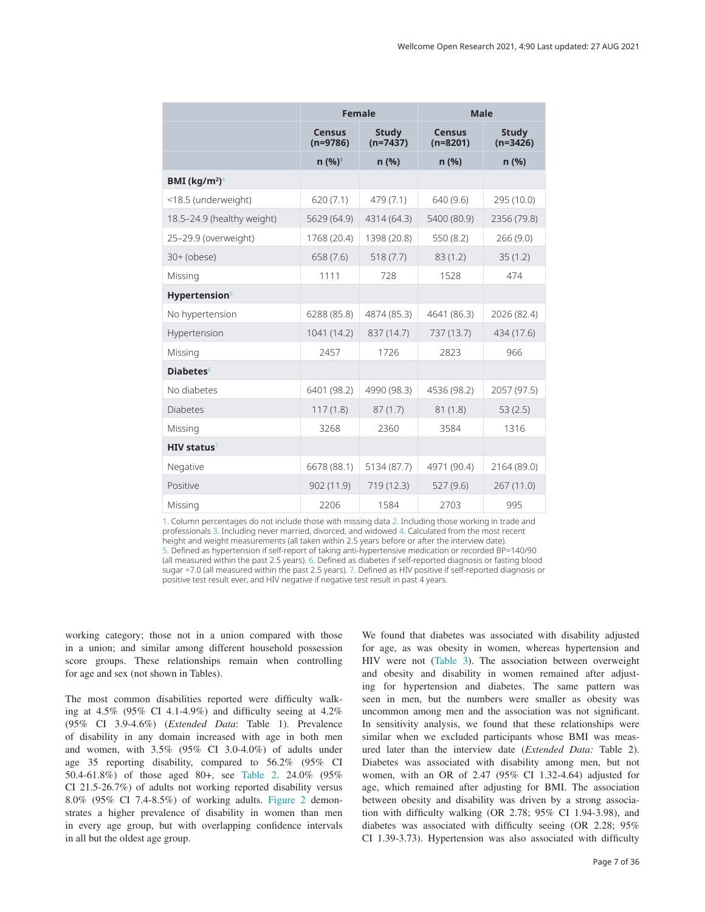<span id="page-6-0"></span>

|                                       | <b>Female</b>                             |                            | <b>Male</b>                 |                            |  |
|---------------------------------------|-------------------------------------------|----------------------------|-----------------------------|----------------------------|--|
|                                       | <b>Census</b><br>$(n=9786)$               | <b>Study</b><br>$(n=7437)$ | <b>Census</b><br>$(n=8201)$ | <b>Study</b><br>$(n=3426)$ |  |
|                                       | $n (%)^1$                                 | n(%)                       | n(%)                        | n(%)                       |  |
| BMI (kg/m <sup>2</sup> ) <sup>4</sup> |                                           |                            |                             |                            |  |
| <18.5 (underweight)                   | 620(7.1)                                  | 479 (7.1)                  | 640 (9.6)                   | 295 (10.0)                 |  |
| 18.5-24.9 (healthy weight)            | 5400 (80.9)<br>4314 (64.3)<br>5629 (64.9) |                            | 2356 (79.8)                 |                            |  |
| 25-29.9 (overweight)                  | 1768 (20.4)                               | 1398 (20.8)                | 550 (8.2)                   | 266 (9.0)                  |  |
| $30+$ (obese)                         | 658 (7.6)                                 | 518(7.7)                   | 83(1.2)                     | 35(1.2)                    |  |
| Missing                               | 1111                                      | 728                        | 1528                        | 474                        |  |
| Hypertension <sup>5</sup>             |                                           |                            |                             |                            |  |
| No hypertension                       | 6288 (85.8)                               | 4874 (85.3)                | 4641 (86.3)                 | 2026 (82.4)                |  |
| Hypertension                          | 1041 (14.2)                               | 837 (14.7)                 | 737 (13.7)                  | 434 (17.6)                 |  |
| Missing                               | 2457                                      | 1726                       | 2823                        | 966                        |  |
| <b>Diabetes</b> <sup>6</sup>          |                                           |                            |                             |                            |  |
| No diabetes                           | 6401 (98.2)                               | 4990 (98.3)                | 4536 (98.2)                 | 2057 (97.5)                |  |
| <b>Diabetes</b>                       | 117(1.8)                                  | 87(1.7)                    | 81(1.8)                     | 53(2.5)                    |  |
| Missing                               | 3268                                      | 2360                       | 3584                        | 1316                       |  |
| $HIV$ status <sup>7</sup>             |                                           |                            |                             |                            |  |
| Negative                              | 6678 (88.1)                               | 5134 (87.7)                | 4971 (90.4)                 | 2164 (89.0)                |  |
| Positive                              | 902(11.9)                                 | 719 (12.3)                 | 527(9.6)                    | 267(11.0)                  |  |
| Missing                               | 2206                                      | 1584                       | 2703                        | 995                        |  |

1. Column percentages do not include those with missing data 2. Including those working in trade and professionals 3. Including never married, divorced, and widowed 4. Calculated from the most recent height and weight measurements (all taken within 2.5 years before or after the interview date). 5. Defined as hypertension if self-report of taking anti-hypertensive medication or recorded BP=140/90 (all measured within the past 2.5 years). 6. Defined as diabetes if self-reported diagnosis or fasting blood sugar =7.0 (all measured within the past 2.5 years). 7. Defined as HIV positive if self-reported diagnosis or positive test result ever, and HIV negative if negative test result in past 4 years.

working category; those not in a union compared with those in a union; and similar among different household possession score groups. These relationships remain when controlling for age and sex (not shown in Tables).

The most common disabilities reported were difficulty walking at  $4.5\%$  (95% CI  $4.1-4.9\%$ ) and difficulty seeing at  $4.2\%$ (95% CI 3.9-4.6%) (*Extended Data*: Table 1). Prevalence of disability in any domain increased with age in both men and women, with 3.5% (95% CI 3.0-4.0%) of adults under age 35 reporting disability, compared to 56.2% (95% CI 50.4-61.8%) of those aged 80+, see [Table 2](#page-5-0). 24.0% (95% CI 21.5-26.7%) of adults not working reported disability versus 8.0% (95% CI 7.4-8.5%) of working adults. [Figure 2](#page-8-0) demonstrates a higher prevalence of disability in women than men in every age group, but with overlapping confidence intervals in all but the oldest age group.

We found that diabetes was associated with disability adjusted for age, as was obesity in women, whereas hypertension and HIV were not [\(Table 3\)](#page-9-0). The association between overweight and obesity and disability in women remained after adjusting for hypertension and diabetes. The same pattern was seen in men, but the numbers were smaller as obesity was uncommon among men and the association was not significant. In sensitivity analysis, we found that these relationships were similar when we excluded participants whose BMI was measured later than the interview date (*Extended Data:* Table 2). Diabetes was associated with disability among men, but not women, with an OR of 2.47 (95% CI 1.32-4.64) adjusted for age, which remained after adjusting for BMI. The association between obesity and disability was driven by a strong association with difficulty walking (OR 2.78; 95% CI 1.94-3.98), and diabetes was associated with difficulty seeing (OR 2.28; 95% CI 1.39-3.73). Hypertension was also associated with difficulty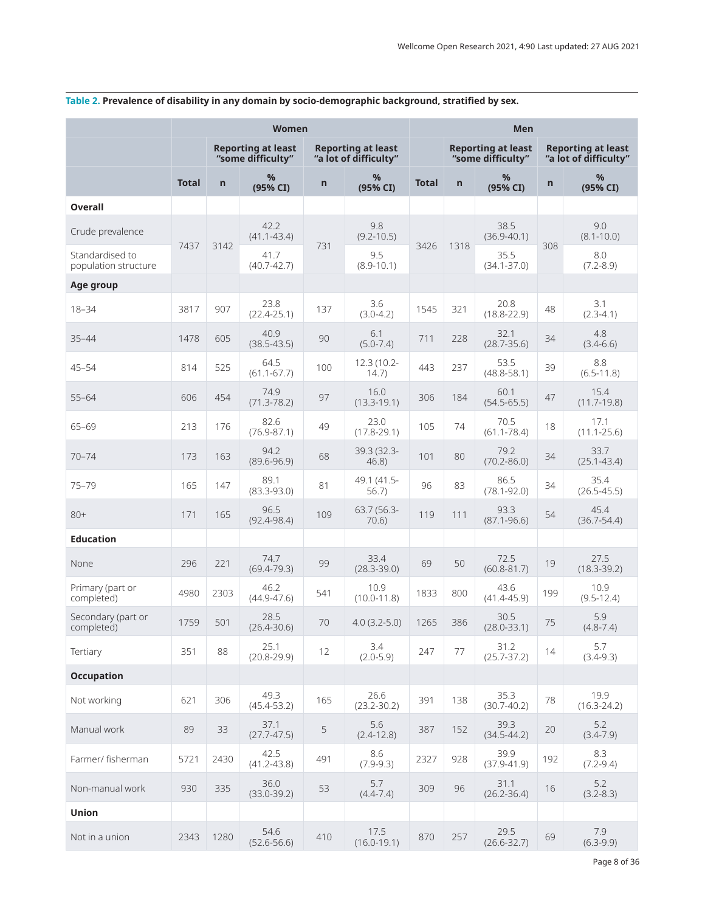|                                         | <b>Women</b> |                |                                                |              |                                                    | Men          |                                                |                         |     |                                                    |
|-----------------------------------------|--------------|----------------|------------------------------------------------|--------------|----------------------------------------------------|--------------|------------------------------------------------|-------------------------|-----|----------------------------------------------------|
|                                         |              |                | <b>Reporting at least</b><br>"some difficulty" |              | <b>Reporting at least</b><br>"a lot of difficulty" |              | <b>Reporting at least</b><br>"some difficulty" |                         |     | <b>Reporting at least</b><br>"a lot of difficulty" |
|                                         | <b>Total</b> | $\overline{n}$ | %<br>(95% CI)                                  | $\mathsf{n}$ | %<br>(95% CI)                                      | <b>Total</b> | $\overline{n}$                                 | %<br>(95% CI)           | n   | $\%$<br>(95% CI)                                   |
| <b>Overall</b>                          |              |                |                                                |              |                                                    |              |                                                |                         |     |                                                    |
| Crude prevalence                        |              | 3142           | 42.2<br>$(41.1 - 43.4)$                        |              | 9.8<br>$(9.2 - 10.5)$                              |              |                                                | 38.5<br>$(36.9 - 40.1)$ |     | 9.0<br>$(8.1 - 10.0)$                              |
| Standardised to<br>population structure | 7437         |                | 41.7<br>$(40.7 - 42.7)$                        | 731          | 9.5<br>$(8.9 - 10.1)$                              | 3426         | 1318                                           | 35.5<br>$(34.1 - 37.0)$ | 308 | 8.0<br>$(7.2 - 8.9)$                               |
| Age group                               |              |                |                                                |              |                                                    |              |                                                |                         |     |                                                    |
| $18 - 34$                               | 3817         | 907            | 23.8<br>$(22.4 - 25.1)$                        | 137          | 3.6<br>$(3.0-4.2)$                                 | 1545         | 321                                            | 20.8<br>$(18.8 - 22.9)$ | 48  | 3.1<br>$(2.3 - 4.1)$                               |
| $35 - 44$                               | 1478         | 605            | 40.9<br>$(38.5 - 43.5)$                        | 90           | 6.1<br>$(5.0 - 7.4)$                               | 711          | 228                                            | 32.1<br>$(28.7 - 35.6)$ | 34  | 4.8<br>$(3.4-6.6)$                                 |
| $45 - 54$                               | 814          | 525            | 64.5<br>$(61.1 - 67.7)$                        | 100          | 12.3 (10.2-<br>14.7)                               | 443          | 237                                            | 53.5<br>$(48.8 - 58.1)$ | 39  | 8.8<br>$(6.5 - 11.8)$                              |
| $55 - 64$                               | 606          | 454            | 74.9<br>$(71.3 - 78.2)$                        | 97           | 16.0<br>$(13.3 - 19.1)$                            | 306          | 184                                            | 60.1<br>$(54.5 - 65.5)$ | 47  | 15.4<br>$(11.7-19.8)$                              |
| 65-69                                   | 213          | 176            | 82.6<br>$(76.9 - 87.1)$                        | 49           | 23.0<br>$(17.8 - 29.1)$                            | 105          | 74                                             | 70.5<br>$(61.1 - 78.4)$ | 18  | 17.1<br>$(11.1 - 25.6)$                            |
| $70 - 74$                               | 173          | 163            | 94.2<br>$(89.6 - 96.9)$                        | 68           | 39.3 (32.3-<br>46.8)                               | 101          | 80                                             | 79.2<br>$(70.2 - 86.0)$ | 34  | 33.7<br>$(25.1 - 43.4)$                            |
| $75 - 79$                               | 165          | 147            | 89.1<br>$(83.3 - 93.0)$                        | 81           | 49.1 (41.5-<br>56.7)                               | 96           | 83                                             | 86.5<br>$(78.1 - 92.0)$ | 34  | 35.4<br>$(26.5 - 45.5)$                            |
| $80+$                                   | 171          | 165            | 96.5<br>$(92.4 - 98.4)$                        | 109          | 63.7 (56.3-<br>70.6                                | 119          | 111                                            | 93.3<br>$(87.1 - 96.6)$ | 54  | 45.4<br>$(36.7 - 54.4)$                            |
| <b>Education</b>                        |              |                |                                                |              |                                                    |              |                                                |                         |     |                                                    |
| None                                    | 296          | 221            | 74.7<br>$(69.4 - 79.3)$                        | 99           | 33.4<br>$(28.3 - 39.0)$                            | 69           | 50                                             | 72.5<br>$(60.8 - 81.7)$ | 19  | 27.5<br>$(18.3 - 39.2)$                            |
| Primary (part or<br>completed)          | 4980         | 2303           | 46.2<br>$(44.9 - 47.6)$                        | 541          | 10.9<br>$(10.0 - 11.8)$                            | 1833         | 800                                            | 43.6<br>$(41.4 - 45.9)$ | 199 | 10.9<br>$(9.5 - 12.4)$                             |
| Secondary (part or<br>completed)        | 1759         | 501            | 28.5<br>$(26.4 - 30.6)$                        | 70           | $4.0(3.2-5.0)$                                     | 1265         | 386                                            | 30.5<br>$(28.0 - 33.1)$ | 75  | 5.9<br>$(4.8 - 7.4)$                               |
| Tertiary                                | 351          | 88             | 25.1<br>$(20.8 - 29.9)$                        | 12           | 3.4<br>$(2.0 - 5.9)$                               | 247          | 77                                             | 31.2<br>$(25.7 - 37.2)$ | 14  | 5.7<br>$(3.4 - 9.3)$                               |
| <b>Occupation</b>                       |              |                |                                                |              |                                                    |              |                                                |                         |     |                                                    |
| Not working                             | 621          | 306            | 49.3<br>$(45.4 - 53.2)$                        | 165          | 26.6<br>$(23.2 - 30.2)$                            | 391          | 138                                            | 35.3<br>$(30.7 - 40.2)$ | 78  | 19.9<br>$(16.3 - 24.2)$                            |
| Manual work                             | 89           | 33             | 37.1<br>$(27.7 - 47.5)$                        | 5            | 5.6<br>$(2.4 - 12.8)$                              | 387          | 152                                            | 39.3<br>$(34.5 - 44.2)$ | 20  | 5.2<br>$(3.4 - 7.9)$                               |
| Farmer/ fisherman                       | 5721         | 2430           | 42.5<br>$(41.2 - 43.8)$                        | 491          | 8.6<br>$(7.9-9.3)$                                 | 2327         | 928                                            | 39.9<br>$(37.9 - 41.9)$ | 192 | 8.3<br>$(7.2 - 9.4)$                               |
| Non-manual work                         | 930          | 335            | 36.0<br>$(33.0 - 39.2)$                        | 53           | 5.7<br>$(4.4 - 7.4)$                               | 309          | 96                                             | 31.1<br>$(26.2 - 36.4)$ | 16  | 5.2<br>$(3.2 - 8.3)$                               |
| Union                                   |              |                |                                                |              |                                                    |              |                                                |                         |     |                                                    |
| Not in a union                          | 2343         | 1280           | 54.6<br>$(52.6 - 56.6)$                        | 410          | 17.5<br>$(16.0 - 19.1)$                            | 870          | 257                                            | 29.5<br>$(26.6 - 32.7)$ | 69  | 7.9<br>$(6.3-9.9)$                                 |

# <span id="page-7-0"></span>**Table 2. Prevalence of disability in any domain by socio-demographic background, stratified by sex.**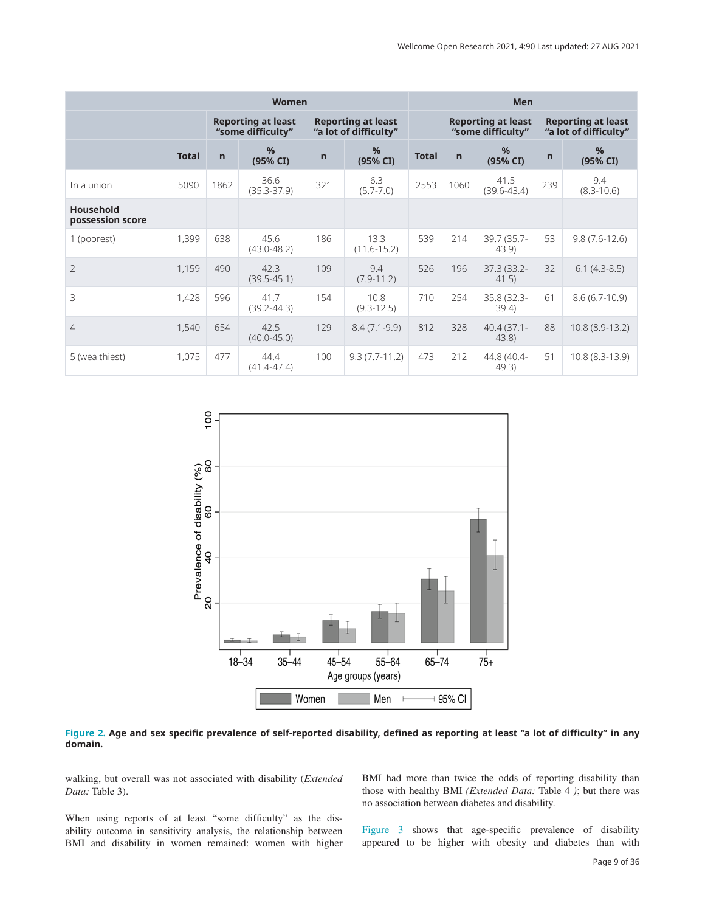<span id="page-8-0"></span>

|                                      | <b>Women</b> |                                                |                         |                                                    |                         | Men          |                                                |                         |                                                    |                       |
|--------------------------------------|--------------|------------------------------------------------|-------------------------|----------------------------------------------------|-------------------------|--------------|------------------------------------------------|-------------------------|----------------------------------------------------|-----------------------|
|                                      |              | <b>Reporting at least</b><br>"some difficulty" |                         | <b>Reporting at least</b><br>"a lot of difficulty" |                         |              | <b>Reporting at least</b><br>"some difficulty" |                         | <b>Reporting at least</b><br>"a lot of difficulty" |                       |
|                                      | <b>Total</b> | $\mathsf{n}$                                   | %<br>(95% CI)           | $\mathsf{n}$                                       | %<br>(95% CI)           | <b>Total</b> | $\mathsf{n}$                                   | %<br>(95% CI)           | $\mathsf{n}$                                       | %<br>(95% CI)         |
| In a union                           | 5090         | 1862                                           | 36.6<br>$(35.3 - 37.9)$ | 321                                                | 6.3<br>$(5.7 - 7.0)$    | 2553         | 1060                                           | 41.5<br>$(39.6 - 43.4)$ | 239                                                | 9.4<br>$(8.3 - 10.6)$ |
| <b>Household</b><br>possession score |              |                                                |                         |                                                    |                         |              |                                                |                         |                                                    |                       |
| 1 (poorest)                          | 1,399        | 638                                            | 45.6<br>$(43.0 - 48.2)$ | 186                                                | 13.3<br>$(11.6 - 15.2)$ | 539          | 214                                            | 39.7 (35.7-<br>43.9     | 53                                                 | $9.8(7.6-12.6)$       |
| $\overline{2}$                       | 1,159        | 490                                            | 42.3<br>$(39.5 - 45.1)$ | 109                                                | 9.4<br>$(7.9 - 11.2)$   | 526          | 196                                            | 37.3 (33.2-<br>41.5)    | 32                                                 | $6.1(4.3-8.5)$        |
| $\mathcal{R}$                        | 1,428        | 596                                            | 41.7<br>$(39.2 - 44.3)$ | 154                                                | 10.8<br>$(9.3 - 12.5)$  | 710          | 254                                            | 35.8 (32.3-<br>39.4     | 61                                                 | $8.6(6.7-10.9)$       |
| $\overline{4}$                       | 1,540        | 654                                            | 42.5<br>$(40.0 - 45.0)$ | 129                                                | $8.4(7.1-9.9)$          | 812          | 328                                            | $40.4(37.1 -$<br>43.8   | 88                                                 | 10.8 (8.9-13.2)       |
| 5 (wealthiest)                       | 1,075        | 477                                            | 44.4<br>$(41.4 - 47.4)$ | 100                                                | $9.3(7.7-11.2)$         | 473          | 212                                            | 44.8 (40.4-<br>49.3)    | 51                                                 | 10.8 (8.3-13.9)       |



**Figure 2. Age and sex specific prevalence of self-reported disability, defined as reporting at least "a lot of difficulty" in any domain.**

walking, but overall was not associated with disability (*Extended Data:* Table 3).

When using reports of at least "some difficulty" as the disability outcome in sensitivity analysis, the relationship between BMI and disability in women remained: women with higher

BMI had more than twice the odds of reporting disability than those with healthy BMI *(Extended Data:* Table 4 *)*; but there was no association between diabetes and disability.

[Figure 3](#page-10-0) shows that age-specific prevalence of disability appeared to be higher with obesity and diabetes than with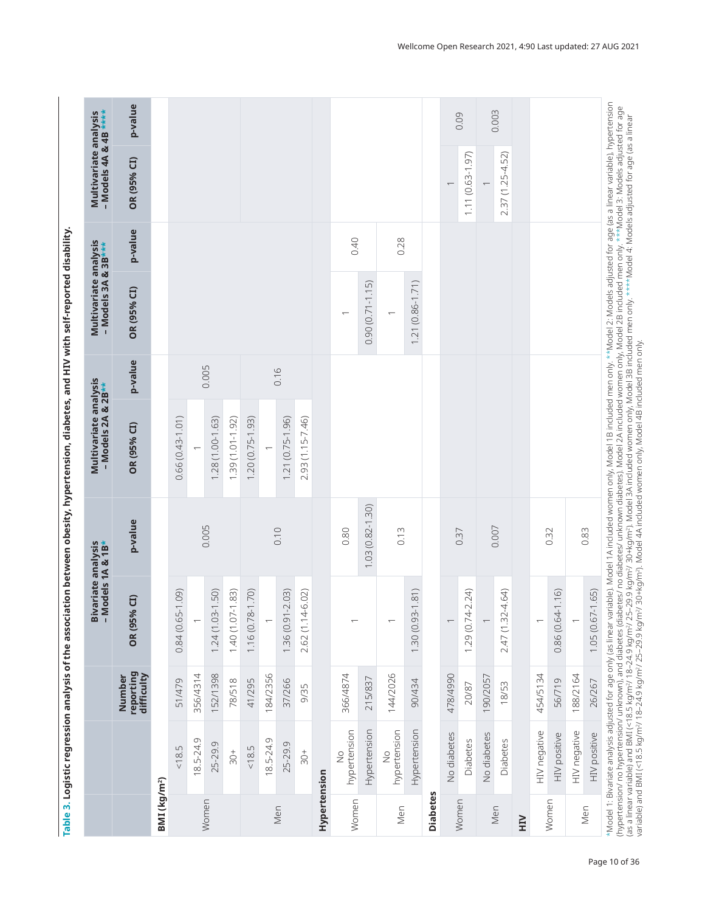<span id="page-9-0"></span>

| p-value<br>0.40<br>0.28<br>$1.21(0.86 - 1.71)$<br>$0.90(0.71 - 1.15)$<br>OR (95% CI)<br>$\overline{\phantom{0}}$<br>p-value<br>0.005<br>0.16<br>$0.66(0.43 - 1.01)$<br>1.28 (1.00-1.63)<br>1.39 (1.01-1.92)<br>$1.20(0.75-1.93)$<br>1.21 (0.75-1.96)<br>2.93 (1.15-7.46)<br>OR (95% CI)<br>$1.03(0.82 - 1.30)$<br>p-value<br>0.005<br>0.007<br>0.10<br>0.80<br>0.13<br>0.83<br>0.37<br>0.32<br>(1.81)<br>(1.50)<br>2.24<br>4.64)<br>(1.16)<br>(60.1)<br>$1.40(1.07 - 1.83)$<br>(0.71)<br>$1.36(0.91 - 2.03)$<br>6.02)<br>$\widehat{a}$<br>OR (95%<br>1.24(1.03<br>$2.47(1.32 -$<br>0.84 (0.65-<br>1.16 (0.78-<br>2.62(1.14<br>1.30 (0.93-<br>1.29(0.74<br>0.86 (0.64-<br>$\overline{\phantom{0}}$<br>$\overline{\phantom{0}}$<br>$\overline{\phantom{0}}$<br>$\overline{}$<br>$\overline{\phantom{m}}$<br>reporting<br>difficulty<br>366/4874<br>152/1398<br>184/2356<br>144/2026<br>454/5134<br>188/2164<br>356/4314<br>478/4990<br>Number<br>190/2057<br>215/837<br>51/479<br>37/266<br>90/434<br>56/719<br>78/518<br>41/295<br>20/87<br>18/53<br>9/35<br>Hypertension<br>Hypertension<br>hypertension<br>hypertension<br>HIV negative<br>HIV negative<br>No diabetes<br>No diabetes<br>HIV positive<br>18.5-24.9<br>$18.5 - 24.9$<br>Diabetes<br>Diabetes<br>25-29.9<br>25-29.9<br>18.5<br>18.5<br>$\frac{+}{0}$<br>$30+$<br>$\frac{1}{2}$<br>$\frac{1}{2}$<br>Hypertension<br>BMI (kg/m <sup>2</sup> )<br><b>Diabetes</b><br>Women<br>Women<br>Women<br>Women<br>Men<br>Men<br>Men<br>Men<br>NH |              |        | <b>Bivariate analysis</b><br>M− | odels 1A & 1B* | Multivariate analysis<br>- Models 2A & 2B** | Multivariate analysis<br>$-M$ odels 3A & 3B*** | - Models 4A & 4B ****<br>Multivariate analysis |         |
|-----------------------------------------------------------------------------------------------------------------------------------------------------------------------------------------------------------------------------------------------------------------------------------------------------------------------------------------------------------------------------------------------------------------------------------------------------------------------------------------------------------------------------------------------------------------------------------------------------------------------------------------------------------------------------------------------------------------------------------------------------------------------------------------------------------------------------------------------------------------------------------------------------------------------------------------------------------------------------------------------------------------------------------------------------------------------------------------------------------------------------------------------------------------------------------------------------------------------------------------------------------------------------------------------------------------------------------------------------------------------------------------------------------------------------------------------------------------------------------------------------|--------------|--------|---------------------------------|----------------|---------------------------------------------|------------------------------------------------|------------------------------------------------|---------|
|                                                                                                                                                                                                                                                                                                                                                                                                                                                                                                                                                                                                                                                                                                                                                                                                                                                                                                                                                                                                                                                                                                                                                                                                                                                                                                                                                                                                                                                                                                     |              |        |                                 |                |                                             |                                                | OR (95% CI)                                    | p-value |
|                                                                                                                                                                                                                                                                                                                                                                                                                                                                                                                                                                                                                                                                                                                                                                                                                                                                                                                                                                                                                                                                                                                                                                                                                                                                                                                                                                                                                                                                                                     |              |        |                                 |                |                                             |                                                |                                                |         |
|                                                                                                                                                                                                                                                                                                                                                                                                                                                                                                                                                                                                                                                                                                                                                                                                                                                                                                                                                                                                                                                                                                                                                                                                                                                                                                                                                                                                                                                                                                     |              |        |                                 |                |                                             |                                                |                                                |         |
|                                                                                                                                                                                                                                                                                                                                                                                                                                                                                                                                                                                                                                                                                                                                                                                                                                                                                                                                                                                                                                                                                                                                                                                                                                                                                                                                                                                                                                                                                                     |              |        |                                 |                |                                             |                                                |                                                |         |
|                                                                                                                                                                                                                                                                                                                                                                                                                                                                                                                                                                                                                                                                                                                                                                                                                                                                                                                                                                                                                                                                                                                                                                                                                                                                                                                                                                                                                                                                                                     |              |        |                                 |                |                                             |                                                |                                                |         |
|                                                                                                                                                                                                                                                                                                                                                                                                                                                                                                                                                                                                                                                                                                                                                                                                                                                                                                                                                                                                                                                                                                                                                                                                                                                                                                                                                                                                                                                                                                     |              |        |                                 |                |                                             |                                                |                                                |         |
|                                                                                                                                                                                                                                                                                                                                                                                                                                                                                                                                                                                                                                                                                                                                                                                                                                                                                                                                                                                                                                                                                                                                                                                                                                                                                                                                                                                                                                                                                                     |              |        |                                 |                |                                             |                                                |                                                |         |
|                                                                                                                                                                                                                                                                                                                                                                                                                                                                                                                                                                                                                                                                                                                                                                                                                                                                                                                                                                                                                                                                                                                                                                                                                                                                                                                                                                                                                                                                                                     |              |        |                                 |                |                                             |                                                |                                                |         |
|                                                                                                                                                                                                                                                                                                                                                                                                                                                                                                                                                                                                                                                                                                                                                                                                                                                                                                                                                                                                                                                                                                                                                                                                                                                                                                                                                                                                                                                                                                     |              |        |                                 |                |                                             |                                                |                                                |         |
|                                                                                                                                                                                                                                                                                                                                                                                                                                                                                                                                                                                                                                                                                                                                                                                                                                                                                                                                                                                                                                                                                                                                                                                                                                                                                                                                                                                                                                                                                                     |              |        |                                 |                |                                             |                                                |                                                |         |
|                                                                                                                                                                                                                                                                                                                                                                                                                                                                                                                                                                                                                                                                                                                                                                                                                                                                                                                                                                                                                                                                                                                                                                                                                                                                                                                                                                                                                                                                                                     |              |        |                                 |                |                                             |                                                |                                                |         |
|                                                                                                                                                                                                                                                                                                                                                                                                                                                                                                                                                                                                                                                                                                                                                                                                                                                                                                                                                                                                                                                                                                                                                                                                                                                                                                                                                                                                                                                                                                     |              |        |                                 |                |                                             |                                                |                                                |         |
|                                                                                                                                                                                                                                                                                                                                                                                                                                                                                                                                                                                                                                                                                                                                                                                                                                                                                                                                                                                                                                                                                                                                                                                                                                                                                                                                                                                                                                                                                                     |              |        |                                 |                |                                             |                                                |                                                |         |
|                                                                                                                                                                                                                                                                                                                                                                                                                                                                                                                                                                                                                                                                                                                                                                                                                                                                                                                                                                                                                                                                                                                                                                                                                                                                                                                                                                                                                                                                                                     |              |        |                                 |                |                                             |                                                |                                                |         |
|                                                                                                                                                                                                                                                                                                                                                                                                                                                                                                                                                                                                                                                                                                                                                                                                                                                                                                                                                                                                                                                                                                                                                                                                                                                                                                                                                                                                                                                                                                     |              |        |                                 |                |                                             |                                                |                                                |         |
|                                                                                                                                                                                                                                                                                                                                                                                                                                                                                                                                                                                                                                                                                                                                                                                                                                                                                                                                                                                                                                                                                                                                                                                                                                                                                                                                                                                                                                                                                                     |              |        |                                 |                |                                             |                                                |                                                |         |
|                                                                                                                                                                                                                                                                                                                                                                                                                                                                                                                                                                                                                                                                                                                                                                                                                                                                                                                                                                                                                                                                                                                                                                                                                                                                                                                                                                                                                                                                                                     |              |        |                                 |                |                                             |                                                | $\overline{\phantom{0}}$                       | 0.09    |
|                                                                                                                                                                                                                                                                                                                                                                                                                                                                                                                                                                                                                                                                                                                                                                                                                                                                                                                                                                                                                                                                                                                                                                                                                                                                                                                                                                                                                                                                                                     |              |        |                                 |                |                                             |                                                | 1.11 (0.63-1.97)                               |         |
|                                                                                                                                                                                                                                                                                                                                                                                                                                                                                                                                                                                                                                                                                                                                                                                                                                                                                                                                                                                                                                                                                                                                                                                                                                                                                                                                                                                                                                                                                                     |              |        |                                 |                |                                             |                                                | $\overline{\phantom{m}}$                       | 0.003   |
|                                                                                                                                                                                                                                                                                                                                                                                                                                                                                                                                                                                                                                                                                                                                                                                                                                                                                                                                                                                                                                                                                                                                                                                                                                                                                                                                                                                                                                                                                                     |              |        |                                 |                |                                             |                                                | 2.37 (1.25-4.52)                               |         |
|                                                                                                                                                                                                                                                                                                                                                                                                                                                                                                                                                                                                                                                                                                                                                                                                                                                                                                                                                                                                                                                                                                                                                                                                                                                                                                                                                                                                                                                                                                     |              |        |                                 |                |                                             |                                                |                                                |         |
|                                                                                                                                                                                                                                                                                                                                                                                                                                                                                                                                                                                                                                                                                                                                                                                                                                                                                                                                                                                                                                                                                                                                                                                                                                                                                                                                                                                                                                                                                                     |              |        |                                 |                |                                             |                                                |                                                |         |
|                                                                                                                                                                                                                                                                                                                                                                                                                                                                                                                                                                                                                                                                                                                                                                                                                                                                                                                                                                                                                                                                                                                                                                                                                                                                                                                                                                                                                                                                                                     |              |        |                                 |                |                                             |                                                |                                                |         |
|                                                                                                                                                                                                                                                                                                                                                                                                                                                                                                                                                                                                                                                                                                                                                                                                                                                                                                                                                                                                                                                                                                                                                                                                                                                                                                                                                                                                                                                                                                     |              |        |                                 |                |                                             |                                                |                                                |         |
|                                                                                                                                                                                                                                                                                                                                                                                                                                                                                                                                                                                                                                                                                                                                                                                                                                                                                                                                                                                                                                                                                                                                                                                                                                                                                                                                                                                                                                                                                                     | HIV positive | 26/267 | $1.05(0.67 - 1.65)$             |                |                                             |                                                |                                                |         |

Table 3. Logistic regression analysis of the association between obesity, hypertension, diabetes, and HIV with self-reported disability. Table 3. Logistic regression analysis of the association between obesity, hypertension, diabetes, and HIV with self-reported disability.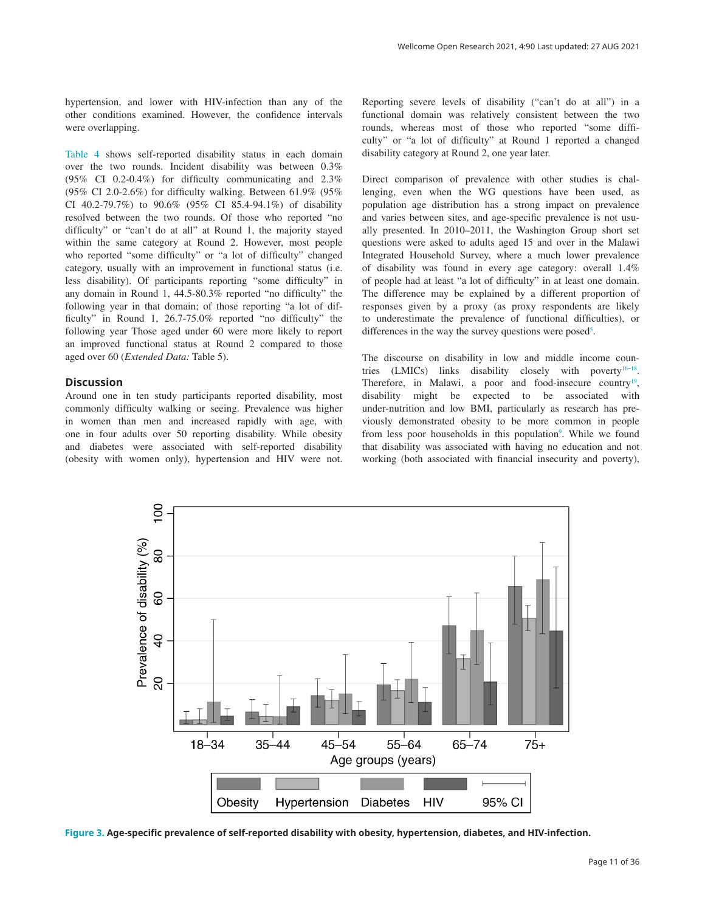<span id="page-10-0"></span>[Table 4](#page-11-0) shows self-reported disability status in each domain over the two rounds. Incident disability was between 0.3% (95% CI 0.2-0.4%) for difficulty communicating and 2.3% (95% CI 2.0-2.6%) for difficulty walking. Between 61.9% (95% CI 40.2-79.7%) to 90.6% (95% CI 85.4-94.1%) of disability resolved between the two rounds. Of those who reported "no difficulty" or "can't do at all" at Round 1, the majority stayed within the same category at Round 2. However, most people who reported "some difficulty" or "a lot of difficulty" changed category, usually with an improvement in functional status (i.e. less disability). Of participants reporting "some difficulty" in any domain in Round 1, 44.5-80.3% reported "no difficulty" the following year in that domain; of those reporting "a lot of difficulty" in Round 1, 26.7-75.0% reported "no difficulty" the following year Those aged under 60 were more likely to report an improved functional status at Round 2 compared to those aged over 60 (*Extended Data:* Table 5).

#### **Discussion**

Around one in ten study participants reported disability, most commonly difficulty walking or seeing. Prevalence was higher in women than men and increased rapidly with age, with one in four adults over 50 reporting disability. While obesity and diabetes were associated with self-reported disability (obesity with women only), hypertension and HIV were not.

Reporting severe levels of disability ("can't do at all") in a functional domain was relatively consistent between the two rounds, whereas most of those who reported "some difficulty" or "a lot of difficulty" at Round 1 reported a changed disability category at Round 2, one year later.

Direct comparison of prevalence with other studies is challenging, even when the WG questions have been used, as population age distribution has a strong impact on prevalence and varies between sites, and age-specific prevalence is not usually presented. In 2010–2011, the Washington Group short set questions were asked to adults aged 15 and over in the Malawi Integrated Household Survey, where a much lower prevalence of disability was found in every age category: overall 1.4% of people had at least "a lot of difficulty" in at least one domain. The difference may be explained by a different proportion of responses given by a proxy (as proxy respondents are likely to underestimate the prevalence of functional difficulties), or differences in the way the survey questions were posed<sup>[5](#page-14-0)</sup>.

The discourse on disability in low and middle income countries  $(LMICs)$  links disability closely with poverty<sup>16–18</sup>. Therefore, in Malawi, a poor and food-insecure country<sup>19</sup>, disability might be expected to be associated with under-nutrition and low BMI, particularly as research has previously demonstrated obesity to be more common in people from less poor households in this population<sup>9</sup>. While we found that disability was associated with having no education and not working (both associated with financial insecurity and poverty),



**Figure 3. Age-specific prevalence of self-reported disability with obesity, hypertension, diabetes, and HIV-infection.**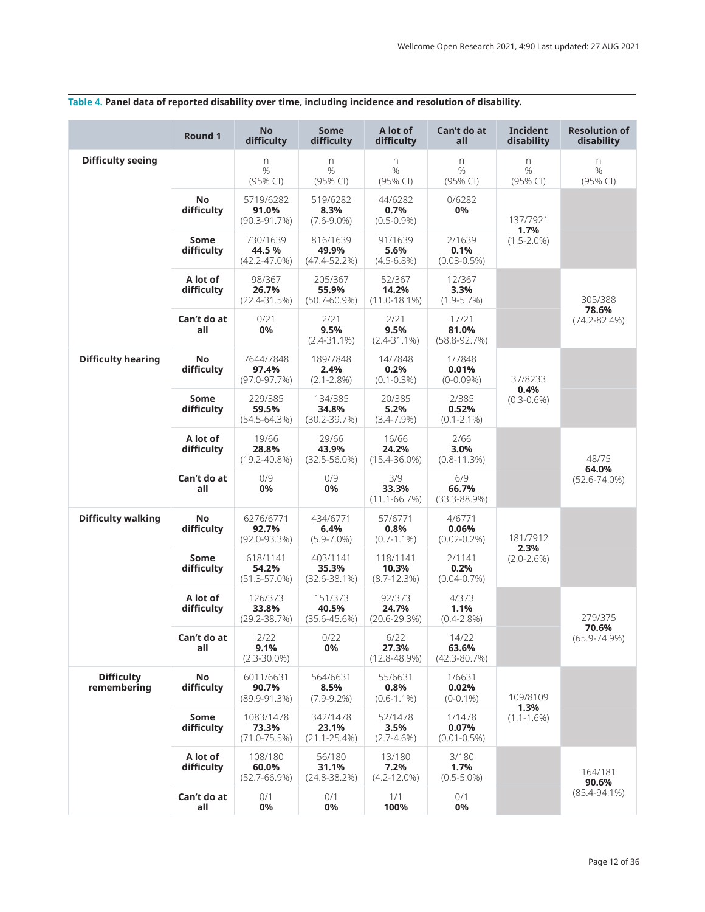|                                  | Round 1                 | <b>No</b><br>difficulty                | <b>Some</b><br>difficulty             | A lot of<br>difficulty               | Can't do at<br>all                    | Incident<br>disability  | <b>Resolution of</b><br>disability |
|----------------------------------|-------------------------|----------------------------------------|---------------------------------------|--------------------------------------|---------------------------------------|-------------------------|------------------------------------|
| <b>Difficulty seeing</b>         |                         | n<br>$\frac{0}{0}$<br>(95% CI)         | n<br>%<br>(95% CI)                    | n<br>$\frac{0}{0}$<br>(95% CI)       | $\Gamma$<br>$\frac{0}{0}$<br>(95% CI) | n<br>%<br>(95% CI)      | n<br>$\frac{0}{0}$<br>(95% CI)     |
|                                  | <b>No</b><br>difficulty | 5719/6282<br>91.0%<br>$(90.3 - 91.7%)$ | 519/6282<br>8.3%<br>$(7.6 - 9.0\%)$   | 44/6282<br>0.7%<br>$(0.5 - 0.9\%)$   | 0/6282<br>0%                          | 137/7921                |                                    |
|                                  | Some<br>difficulty      | 730/1639<br>44.5%<br>$(42.2 - 47.0\%)$ | 816/1639<br>49.9%<br>$(47.4 - 52.2%)$ | 91/1639<br>5.6%<br>$(4.5 - 6.8%)$    | 2/1639<br>0.1%<br>$(0.03 - 0.5\%)$    | 1.7%<br>$(1.5 - 2.0\%)$ |                                    |
|                                  | A lot of<br>difficulty  | 98/367<br>26.7%<br>(22.4-31.5%)        | 205/367<br>55.9%<br>$(50.7 - 60.9%)$  | 52/367<br>14.2%<br>$(11.0 - 18.1%)$  | 12/367<br>3.3%<br>$(1.9 - 5.7%)$      |                         | 305/388                            |
|                                  | Can't do at<br>all      | 0/21<br>0%                             | 2/21<br>9.5%<br>$(2.4 - 31.1\%)$      | 2/21<br>9.5%<br>$(2.4 - 31.1\%)$     | 17/21<br>81.0%<br>$(58.8 - 92.7%)$    |                         | 78.6%<br>$(74.2 - 82.4%)$          |
| <b>Difficulty hearing</b>        | No<br>difficulty        | 7644/7848<br>97.4%<br>$(97.0 - 97.7%)$ | 189/7848<br>2.4%<br>$(2.1 - 2.8\%)$   | 14/7848<br>0.2%<br>$(0.1 - 0.3\%)$   | 1/7848<br>0.01%<br>$(0-0.09%)$        | 37/8233<br>0.4%         |                                    |
|                                  | Some<br>difficulty      | 229/385<br>59.5%<br>$(54.5 - 64.3%)$   | 134/385<br>34.8%<br>$(30.2 - 39.7%)$  | 20/385<br>5.2%<br>$(3.4 - 7.9%)$     | 2/385<br>0.52%<br>$(0.1 - 2.1\%)$     | $(0.3 - 0.6\%)$         |                                    |
|                                  | A lot of<br>difficulty  | 19/66<br>28.8%<br>$(19.2 - 40.8\%)$    | 29/66<br>43.9%<br>$(32.5 - 56.0\%)$   | 16/66<br>24.2%<br>$(15.4 - 36.0\%)$  | 2/66<br>3.0%<br>$(0.8 - 11.3%)$       |                         | 48/75<br>64.0%                     |
|                                  | Can't do at<br>all      | 0/9<br>0%                              | 0/9<br>0%                             | 3/9<br>33.3%<br>$(11.1 - 66.7%)$     | 6/9<br>66.7%<br>$(33.3 - 88.9%)$      |                         | $(52.6 - 74.0\%)$                  |
| <b>Difficulty walking</b>        | No<br>difficulty        | 6276/6771<br>92.7%<br>$(92.0 - 93.3%)$ | 434/6771<br>6.4%<br>$(5.9 - 7.0\%)$   | 57/6771<br>0.8%<br>$(0.7 - 1.1\%)$   | 4/6771<br>0.06%<br>$(0.02 - 0.2\%)$   | 181/7912<br>2.3%        |                                    |
|                                  | Some<br>difficulty      | 618/1141<br>54.2%<br>$(51.3 - 57.0%)$  | 403/1141<br>35.3%<br>$(32.6 - 38.1%)$ | 118/1141<br>10.3%<br>$(8.7 - 12.3%)$ | 2/1141<br>0.2%<br>$(0.04 - 0.7%)$     | $(2.0 - 2.6%)$          |                                    |
|                                  | A lot of<br>difficulty  | 126/373<br>33.8%<br>(29.2-38.7%)       | 151/373<br>40.5%<br>$(35.6 - 45.6%)$  | 92/373<br>24.7%<br>$(20.6 - 29.3%)$  | 4/373<br>1.1%<br>$(0.4 - 2.8\%)$      |                         | 279/375                            |
|                                  | Can't do at<br>all      | 2/22<br>9.1%<br>$(2.3 - 30.0\%)$       | 0/22<br>0%                            | 6/22<br>27.3%<br>$(12.8 - 48.9%)$    | 14/22<br>63.6%<br>$(42.3 - 80.7%)$    |                         | 70.6%<br>$(65.9 - 74.9\%)$         |
| <b>Difficulty</b><br>remembering | No<br>difficulty        | 6011/6631<br>90.7%<br>$(89.9-91.3%)$   | 564/6631<br>8.5%<br>$(7.9-9.2%)$      | 55/6631<br>0.8%<br>$(0.6 - 1.1\%)$   | 1/6631<br>0.02%<br>$(0-0.1\%)$        | 109/8109                |                                    |
|                                  | Some<br>difficulty      | 1083/1478<br>73.3%<br>$(71.0 - 75.5%)$ | 342/1478<br>23.1%<br>$(21.1 - 25.4%)$ | 52/1478<br>3.5%<br>$(2.7 - 4.6%)$    | 1/1478<br>0.07%<br>$(0.01 - 0.5\%)$   | 1.3%<br>$(1.1 - 1.6\%)$ |                                    |
|                                  | A lot of<br>difficulty  | 108/180<br>60.0%<br>(52.7-66.9%)       | 56/180<br>31.1%<br>$(24.8 - 38.2%)$   | 13/180<br>7.2%<br>$(4.2 - 12.0\%)$   | 3/180<br>1.7%<br>$(0.5 - 5.0\%)$      |                         | 164/181<br>90.6%                   |
|                                  | Can't do at<br>all      | 0/1<br>0%                              | 0/1<br>0%                             | 1/1<br>100%                          | 0/1<br>0%                             |                         | $(85.4 - 94.1\%)$                  |

# <span id="page-11-0"></span>**Table 4. Panel data of reported disability over time, including incidence and resolution of disability.**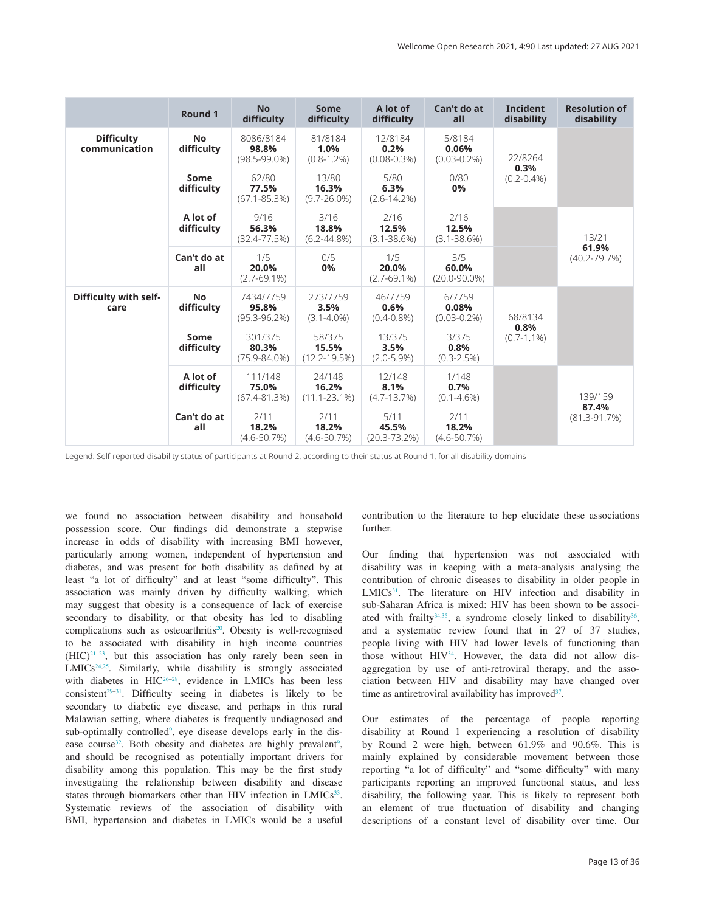|                                    | Round 1                 | <b>No</b><br>difficulty                 | <b>Some</b><br>difficulty            | A lot of<br>difficulty              | Can't do at<br>all                  | <b>Incident</b><br>disability | <b>Resolution of</b><br>disability |
|------------------------------------|-------------------------|-----------------------------------------|--------------------------------------|-------------------------------------|-------------------------------------|-------------------------------|------------------------------------|
| <b>Difficulty</b><br>communication | <b>No</b><br>difficulty | 8086/8184<br>98.8%<br>$(98.5 - 99.0\%)$ | 81/8184<br>1.0%<br>$(0.8 - 1.2\%)$   | 12/8184<br>0.2%<br>$(0.08 - 0.3\%)$ | 5/8184<br>0.06%<br>$(0.03 - 0.2\%)$ | 22/8264                       |                                    |
|                                    | Some<br>difficulty      | 62/80<br>77.5%<br>$(67.1 - 85.3%)$      | 13/80<br>16.3%<br>$(9.7 - 26.0\%)$   | 5/80<br>6.3%<br>$(2.6 - 14.2%)$     | 0/80<br>0%                          | 0.3%<br>$(0.2 - 0.4\%)$       |                                    |
|                                    | A lot of<br>difficulty  | 9/16<br>56.3%<br>$(32.4 - 77.5%)$       | 3/16<br>18.8%<br>$(6.2 - 44.8\%)$    | 2/16<br>12.5%<br>$(3.1 - 38.6%)$    | 2/16<br>12.5%<br>$(3.1 - 38.6%)$    |                               | 13/21<br>61.9%                     |
|                                    | Can't do at<br>all      | 1/5<br>20.0%<br>$(2.7 - 69.1%)$         | 0/5<br>0%                            | 1/5<br>20.0%<br>$(2.7 - 69.1%)$     | 3/5<br>60.0%<br>$(20.0 - 90.0\%)$   |                               | $(40.2 - 79.7%)$                   |
| Difficulty with self-<br>care      | <b>No</b><br>difficulty | 7434/7759<br>95.8%<br>$(95.3 - 96.2\%)$ | 273/7759<br>3.5%<br>$(3.1 - 4.0\%)$  | 46/7759<br>0.6%<br>$(0.4 - 0.8\%)$  | 6/7759<br>0.08%<br>$(0.03 - 0.2\%)$ | 68/8134                       |                                    |
|                                    | Some<br>difficulty      | 301/375<br>80.3%<br>$(75.9 - 84.0\%)$   | 58/375<br>15.5%<br>$(12.2 - 19.5%)$  | 13/375<br>3.5%<br>$(2.0 - 5.9%)$    | 3/375<br>0.8%<br>$(0.3 - 2.5%)$     | 0.8%<br>$(0.7 - 1.1\%)$       |                                    |
|                                    | A lot of<br>difficulty  | 111/148<br>75.0%<br>$(67.4 - 81.3%)$    | 24/148<br>16.2%<br>$(11.1 - 23.1\%)$ | 12/148<br>8.1%<br>$(4.7 - 13.7%)$   | 1/148<br>0.7%<br>$(0.1 - 4.6\%)$    |                               | 139/159                            |
|                                    | Can't do at<br>all      | 2/11<br>18.2%<br>$(4.6 - 50.7%)$        | 2/11<br>18.2%<br>$(4.6 - 50.7%)$     | 5/11<br>45.5%<br>$(20.3 - 73.2%)$   | 2/11<br>18.2%<br>$(4.6 - 50.7%)$    |                               | 87.4%<br>$(81.3 - 91.7%)$          |

Legend: Self-reported disability status of participants at Round 2, according to their status at Round 1, for all disability domains

we found no association between disability and household possession score. Our findings did demonstrate a stepwise increase in odds of disability with increasing BMI however, particularly among women, independent of hypertension and diabetes, and was present for both disability as defined by at least "a lot of difficulty" and at least "some difficulty". This association was mainly driven by difficulty walking, which may suggest that obesity is a consequence of lack of exercise secondary to disability, or that obesity has led to disabling complications such as osteoarthritis<sup>20</sup>. Obesity is well-recognised to be associated with disability in high income countries  $(HIC)^{21-23}$ , but this association has only rarely been seen in LMICs<sup>[24,25](#page-14-0)</sup>. Similarly, while disability is strongly associated ENICS : Similarly, which diabetes in  $HIC^{26-28}$ , evidence in LMICs has been less consistent<sup>29–31</sup>. Difficulty seeing in diabetes is likely to be secondary to diabetic eye disease, and perhaps in this rural Malawian setting, where diabetes is frequently undiagnosed and sub-optimally controlled<sup>[9](#page-14-0)</sup>, eye disease develops early in the dis-ease course<sup>32</sup>. Both obesity and diabetes are highly prevalent<sup>[9](#page-14-0)</sup>, and should be recognised as potentially important drivers for disability among this population. This may be the first study investigating the relationship between disability and disease states through biomarkers other than HIV infection in LMICs<sup>33</sup>. Systematic reviews of the association of disability with BMI, hypertension and diabetes in LMICs would be a useful

contribution to the literature to hep elucidate these associations further.

Our finding that hypertension was not associated with disability was in keeping with a meta-analysis analysing the contribution of chronic diseases to disability in older people in  $LMICs<sup>31</sup>$ . The literature on HIV infection and disability in sub-Saharan Africa is mixed: HIV has been shown to be associated with frailty<sup>34,35</sup>, a syndrome closely linked to disability<sup>36</sup>, and a systematic review found that in 27 of 37 studies, people living with HIV had lower levels of functioning than those without HIV<sup>34</sup>. However, the data did not allow disaggregation by use of anti-retroviral therapy, and the association between HIV and disability may have changed over time as antiretroviral availability has improved $37$ .

Our estimates of the percentage of people reporting disability at Round 1 experiencing a resolution of disability by Round 2 were high, between 61.9% and 90.6%. This is mainly explained by considerable movement between those reporting "a lot of difficulty" and "some difficulty" with many participants reporting an improved functional status, and less disability, the following year. This is likely to represent both an element of true fluctuation of disability and changing descriptions of a constant level of disability over time. Our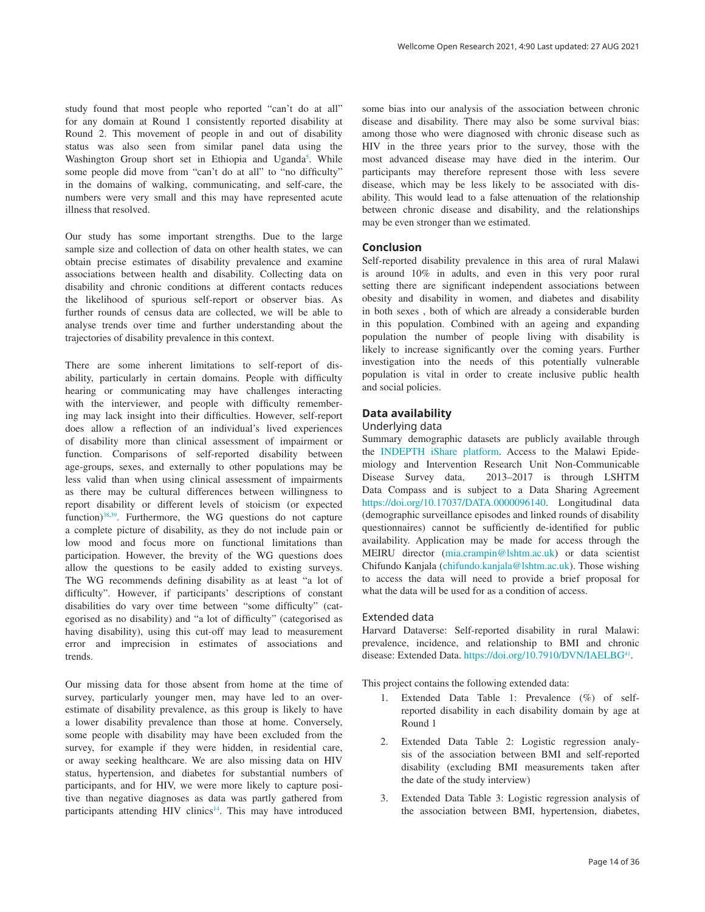study found that most people who reported "can't do at all" for any domain at Round 1 consistently reported disability at Round 2. This movement of people in and out of disability status was also seen from similar panel data using the Washington Group short set in Ethiopia and Uganda<sup>[5](#page-14-0)</sup>. While some people did move from "can't do at all" to "no difficulty" in the domains of walking, communicating, and self-care, the numbers were very small and this may have represented acute illness that resolved.

Our study has some important strengths. Due to the large sample size and collection of data on other health states, we can obtain precise estimates of disability prevalence and examine associations between health and disability. Collecting data on disability and chronic conditions at different contacts reduces the likelihood of spurious self-report or observer bias. As further rounds of census data are collected, we will be able to analyse trends over time and further understanding about the trajectories of disability prevalence in this context.

There are some inherent limitations to self-report of disability, particularly in certain domains. People with difficulty hearing or communicating may have challenges interacting with the interviewer, and people with difficulty remembering may lack insight into their difficulties. However, self-report does allow a reflection of an individual's lived experiences of disability more than clinical assessment of impairment or function. Comparisons of self-reported disability between age-groups, sexes, and externally to other populations may be less valid than when using clinical assessment of impairments as there may be cultural differences between willingness to report disability or different levels of stoicism (or expected function)[38,39](#page-15-0). Furthermore, the WG questions do not capture a complete picture of disability, as they do not include pain or low mood and focus more on functional limitations than participation. However, the brevity of the WG questions does allow the questions to be easily added to existing surveys. The WG recommends defining disability as at least "a lot of difficulty". However, if participants' descriptions of constant disabilities do vary over time between "some difficulty" (categorised as no disability) and "a lot of difficulty" (categorised as having disability), using this cut-off may lead to measurement error and imprecision in estimates of associations and trends.

Our missing data for those absent from home at the time of survey, particularly younger men, may have led to an overestimate of disability prevalence, as this group is likely to have a lower disability prevalence than those at home. Conversely, some people with disability may have been excluded from the survey, for example if they were hidden, in residential care, or away seeking healthcare. We are also missing data on HIV status, hypertension, and diabetes for substantial numbers of participants, and for HIV, we were more likely to capture positive than negative diagnoses as data was partly gathered from participants attending HIV clinics<sup>14</sup>. This may have introduced some bias into our analysis of the association between chronic disease and disability. There may also be some survival bias: among those who were diagnosed with chronic disease such as HIV in the three years prior to the survey, those with the most advanced disease may have died in the interim. Our participants may therefore represent those with less severe disease, which may be less likely to be associated with disability. This would lead to a false attenuation of the relationship between chronic disease and disability, and the relationships may be even stronger than we estimated.

#### **Conclusion**

Self-reported disability prevalence in this area of rural Malawi is around 10% in adults, and even in this very poor rural setting there are significant independent associations between obesity and disability in women, and diabetes and disability in both sexes , both of which are already a considerable burden in this population. Combined with an ageing and expanding population the number of people living with disability is likely to increase significantly over the coming years. Further investigation into the needs of this potentially vulnerable population is vital in order to create inclusive public health and social policies.

#### **Data availability**

#### Underlying data

Summary demographic datasets are publicly available through the [INDEPTH iShare platform](https://www.indepth-ishare.org/index.php/catalog/central). Access to the Malawi Epidemiology and Intervention Research Unit Non-Communicable Disease Survey data, 2013–2017 is through LSHTM Data Compass and is subject to a Data Sharing Agreement <https://doi.org/10.17037/DATA.0000096140>. Longitudinal data (demographic surveillance episodes and linked rounds of disability questionnaires) cannot be sufficiently de-identified for public availability. Application may be made for access through the MEIRU director ([mia.crampin@lshtm.ac.uk\)](mailto:mia.crampin@lshtm.ac.uk) or data scientist Chifundo Kanjala ([chifundo.kanjala@lshtm.ac.uk\)](mailto:chifundo.kanjala@lshtm.ac.uk). Those wishing to access the data will need to provide a brief proposal for what the data will be used for as a condition of access.

#### Extended data

Harvard Dataverse: Self-reported disability in rural Malawi: prevalence, incidence, and relationship to BMI and chronic disease: Extended Data.<https://doi.org/10.7910/DVN/IAELBG><sup>41</sup>.

This project contains the following extended data:

- 1. Extended Data Table 1: Prevalence (%) of selfreported disability in each disability domain by age at Round 1
- 2. Extended Data Table 2: Logistic regression analysis of the association between BMI and self-reported disability (excluding BMI measurements taken after the date of the study interview)
- 3. Extended Data Table 3: Logistic regression analysis of the association between BMI, hypertension, diabetes,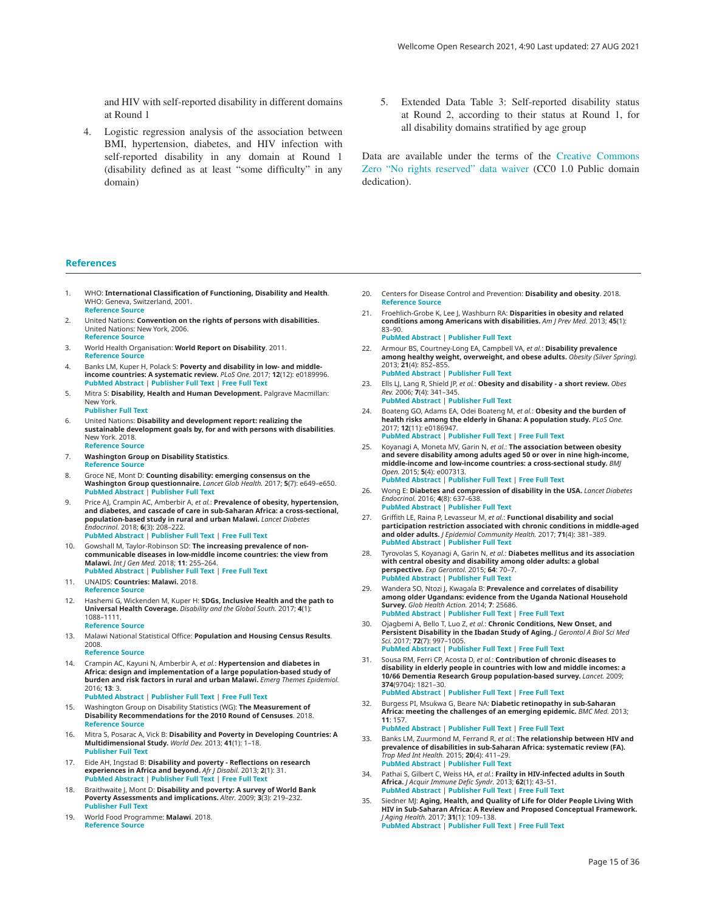<span id="page-14-0"></span>and HIV with self-reported disability in different domains at Round 1

- 4. Logistic regression analysis of the association between BMI, hypertension, diabetes, and HIV infection with self-reported disability in any domain at Round 1 (disability defined as at least "some difficulty" in any domain)
- 5. Extended Data Table 3: Self-reported disability status at Round 2, according to their status at Round 1, for all disability domains stratified by age group

Data are available under the terms of the [Creative Commons](http://creativecommons.org/publicdomain/zero/1.0/)  [Zero "No rights reserved" data waiver](http://creativecommons.org/publicdomain/zero/1.0/) (CC0 1.0 Public domain dedication).

#### **References**

- 1. WHO: **International Classification of Functioning, Disability and Health**. WHO: Geneva, Switzerland, 2001. **[Reference](https://apps.who.int/iris/bitstream/handle/10665/42407/9241545429.pdf;jsessionid=77C8C814E7F7EB598D4A0A6C11D66B85?sequence=1) Source**
- 2. United Nations: **Convention on the rights of persons with disabilities.** United Nations: New York, 2006. **[Reference](https://www.un.org/disabilities/documents/convention/convoptprot-e.pdf) Source**
- 3. World Health Organisation: **World Report on Disability**. 2011. **[Reference](https://www.who.int/disabilities/world_report/2011/report.pdf) Source**
- 4. Banks LM, Kuper H, Polack S: **Poverty and disability in low- and middle-**<br>i**ncome countries: A systematic review.** *PLoS One.* 2017; **12**(12): e0189996. **PubMed [Abstract](http://www.ncbi.nlm.nih.gov/pubmed/29267388)** | **[Publisher Full Text](http://dx.doi.org/10.1371/journal.pone.0189996)** | **[Free Full Text](http://www.ncbi.nlm.nih.gov/pmc/articles/5739437)**
- 5. Mitra S: **Disability, Health and Human Development.** Palgrave Macmillan: New York. **[Publisher Full Text](http://dx.doi.org/10.1057/978-1-137-53638-9)**
- 6. United Nations: **Disability and development report: realizing the sustainable development goals by, for and with persons with disabilities**. New York. 2018. **[Reference](https://www.un-ilibrary.org/content/books/9789210479035) Source**
- 7. **Washington Group on Disability Statistics**.
- **[Reference](http://www.washingtongroup-disability.com/) Source**
- 8. Groce NE, Mont D: **Counting disability: emerging consensus on the Washington Group questionnaire.** *Lancet Glob Health.* 2017; **5**(7): e649–e650. **PubMed [Abstract](http://www.ncbi.nlm.nih.gov/pubmed/28619216)** | **[Publisher Full Text](http://dx.doi.org/10.1016/S2214-109X(17)30207-3)**
- 9. Price AJ, Crampin AC, Amberbir A, *et al.*: **Prevalence of obesity, hypertension, and diabetes, and cascade of care in sub-Saharan Africa: a cross-sectional, population-based study in rural and urban Malawi.** *Lancet Diabetes Endocrinol.* 2018; **6**(3): 208–222. **PubMed [Abstract](http://www.ncbi.nlm.nih.gov/pubmed/29371076)** | **[Publisher Full Text](http://dx.doi.org/10.1016/S2213-8587(17)30432-1)** | **[Free Full Text](http://www.ncbi.nlm.nih.gov/pmc/articles/5835666)**
- 10. Gowshall M, Taylor-Robinson SD: **The increasing prevalence of noncommunicable diseases in low-middle income countries: the view from Malawi.** *Int J Gen Med.* 2018; **11**: 255–264. **PubMed [Abstract](http://www.ncbi.nlm.nih.gov/pubmed/29988742)** | **[Publisher Full Text](http://dx.doi.org/10.2147/IJGM.S157987)** | **[Free Full Text](http://www.ncbi.nlm.nih.gov/pmc/articles/6029598)**
- 11. UNAIDS: **Countries: Malawi.** 2018.
- **[Reference](http://www.unaids.org/en/regionscountries/countries/malawi) Source**
- 12. Hashemi G, Wickenden M, Kuper H: **SDGs, Inclusive Health and the path to Universal Health Coverage.** *Disability and the Global South.* 2017; **4**(1): 1088–1111.

#### **[Reference](https://disabilityglobalsouth.files.wordpress.com/2012/06/dgs-04-01-03.pdf) Source**

- 13. Malawi National Statistical Office: **Population and Housing Census Results**. 2008.
	- **[Reference](https://catalog.ihsn.org/index.php/catalog/2150) Source**
- 14. Crampin AC, Kayuni N, Amberbir A, *et al.*: **Hypertension and diabetes in** Africa: design and implementation of a large population-based study of<br>burden and risk factors in rural and urban Malawi. *Emerg Themes Epidemiol.* 2016; **13**: 3. **PubMed [Abstract](http://www.ncbi.nlm.nih.gov/pubmed/26839575)** | **[Publisher Full Text](http://dx.doi.org/10.1186/s12982-015-0039-2)** | **[Free Full Text](http://www.ncbi.nlm.nih.gov/pmc/articles/4736489)**
- 15. Washington Group on Disability Statistics (WG): **The Measurement of Disability Recommendations for the 2010 Round of Censuses**. 2018. **[Reference](https://www.cdc.gov/nchs/data/washington_group/recommendations_for_disability_measurement.pdf) Source**
- 16. Mitra S, Posarac A, Vick B: **Disability and Poverty in Developing Countries: A Multidimensional Study.** *World Dev.* 2013; **41**(1): 1–18. **[Publisher Full Text](http://dx.doi.org/10.1016/j.worlddev.2012.05.024)**
- 17. Eide AH, Ingstad B: **Disability and poverty Reflections on research experiences in Africa and beyond.** *Afr J Disabil.* 2013; **2**(1): 31. **PubMed [Abstract](http://www.ncbi.nlm.nih.gov/pubmed/28729985)** | **[Publisher Full Text](http://dx.doi.org/10.4102/ajod.v2i1.31)** | **[Free Full Text](http://www.ncbi.nlm.nih.gov/pmc/articles/5442579)**
- 18. Braithwaite J, Mont D: **Disability and poverty: A survey of World Bank Poverty Assessments and implications.** *Alter.* 2009; **3**(3): 219–232. **[Publisher Full Text](http://dx.doi.org/10.1016/j.alter.2008.10.002)**
- 19. World Food Programme: **Malawi**. 2018. **[Reference](http://www1.wfp.org/countries/malawi) Source**
- 20. Centers for Disease Control and Prevention: **Disability and obesity**. 2018. **[Reference](https://www.cdc.gov/ncbddd/disabilityandhealth/obesity.html) Source**
- 21. Froehlich-Grobe K, Lee J, Washburn RA: **Disparities in obesity and related conditions among Americans with disabilities.** *Am J Prev Med.* 2013; **45**(1): 83–90. **PubMed [Abstract](http://www.ncbi.nlm.nih.gov/pubmed/23790992)** | **[Publisher Full Text](http://dx.doi.org/10.1016/j.amepre.2013.02.021)**
- 22. Armour BS, Courtney-Long EA, Campbell VA, *et al.*: **Disability prevalence**<br>**among healthy weight, overweight, and obese adults.** Obesity (Silver Spring). 2013; **21**(4): 852–855. **PubMed [Abstract](http://www.ncbi.nlm.nih.gov/pubmed/23712989)** | **[Publisher Full Text](http://dx.doi.org/10.1002/oby.20312)**
- 23. Ells LJ, Lang R, Shield JP, *et al.*: **Obesity and disability - a short review.** *Obes Rev.* 2006; **7**(4): 341–345. **PubMed [Abstract](http://www.ncbi.nlm.nih.gov/pubmed/17038128)** | **[Publisher Full Text](http://dx.doi.org/10.1111/j.1467-789X.2006.00233.x)**
- 24. Boateng GO, Adams EA, Odei Boateng M, *et al.*: **Obesity and the burden of health risks among the elderly in Ghana: A population study.** *PLoS One.* 2017; **12**(11): e0186947. **PubMed [Abstract](http://www.ncbi.nlm.nih.gov/pubmed/29117264)** | **[Publisher Full Text](http://dx.doi.org/10.1371/journal.pone.0186947)** | **[Free Full Text](http://www.ncbi.nlm.nih.gov/pmc/articles/5695605)**
- 25. Koyanagi A, Moneta MV, Garin N, *et al.*: **The association between obesity and severe disability among adults aged 50 or over in nine high-income, middle-income and low-income countries: a cross-sectional study.** *BMJ Open.* 2015; **5**(4): e007313. **PubMed [Abstract](http://www.ncbi.nlm.nih.gov/pubmed/25838510)** | **[Publisher Full Text](http://dx.doi.org/10.1136/bmjopen-2014-007313)** | **[Free Full Text](http://www.ncbi.nlm.nih.gov/pmc/articles/4390733)**
- 26. Wong E: **Diabetes and compression of disability in the USA.** *Lancet Diabetes Endocrinol.* 2016; **4**(8): 637–638. **PubMed [Abstract](http://www.ncbi.nlm.nih.gov/pubmed/27298182)** | **[Publisher Full Text](http://dx.doi.org/10.1016/S2213-8587(16)30116-4)**
- 27. Griffith LE, Raina P, Levasseur M, *et al.*: **Functional disability and social participation restriction associated with chronic conditions in middle-aged and older adults.** *J Epidemiol Community Health.* 2017; **71**(4): 381–389. **PubMed [Abstract](http://www.ncbi.nlm.nih.gov/pubmed/27754857)** | **[Publisher Full Text](http://dx.doi.org/10.1136/jech-2016-207982)**
- 28. Tyrovolas S, Koyanagi A, Garin N, *et al.*: **Diabetes mellitus and its association with central obesity and disability among older adults: a global perspective.** *Exp Gerontol.* 2015; **64**: 70–7. **PubMed [Abstract](http://www.ncbi.nlm.nih.gov/pubmed/25688991)** | **[Publisher Full Text](http://dx.doi.org/10.1016/j.exger.2015.02.010)**
- 29. Wandera SO, Ntozi J, Kwagala B: **Prevalence and correlates of disability among older Ugandans: evidence from the Uganda National Household Survey.** *Glob Health Action.* 2014; **7**: 25686. **PubMed [Abstract](http://www.ncbi.nlm.nih.gov/pubmed/25413721)** | **[Publisher Full Text](http://dx.doi.org/10.3402/gha.v7.25686)** | **[Free Full Text](http://www.ncbi.nlm.nih.gov/pmc/articles/4238972)**
- 30. Ojagbemi A, Bello T, Luo Z, *et al.*: **Chronic Conditions, New Onset, and Persistent Disability in the Ibadan Study of Aging.** *J Gerontol A Biol Sci Med Sci.* 2017; **72**(7): 997–1005. **PubMed [Abstract](http://www.ncbi.nlm.nih.gov/pubmed/27038233)** | **[Publisher Full Text](http://dx.doi.org/10.1093/gerona/glv188)** | **[Free Full Text](http://www.ncbi.nlm.nih.gov/pmc/articles/5102326)**
- 31. Sousa RM, Ferri CP, Acosta D, *et al.*: **Contribution of chronic diseases to disability in elderly people in countries with low and middle incomes: a 10/66 Dementia Research Group population-based survey.** *Lancet.* 2009; **374**(9704): 1821–30. **PubMed [Abstract](http://www.ncbi.nlm.nih.gov/pubmed/19944863)** | **[Publisher Full Text](http://dx.doi.org/10.1016/S0140-6736(09)61829-8)** | **[Free Full Text](http://www.ncbi.nlm.nih.gov/pmc/articles/2854331)**
- 32. Burgess PI, Msukwa G, Beare NA: **Diabetic retinopathy in sub-Saharan**<br>**Africa: meeting the challenges of an emerging epidemic.** *BMC Med*. 2013; **11**: 157.
	- **PubMed [Abstract](http://www.ncbi.nlm.nih.gov/pubmed/23819888)** | **[Publisher Full Text](http://dx.doi.org/10.1186/1741-7015-11-157)** | **[Free Full Text](http://www.ncbi.nlm.nih.gov/pmc/articles/3729714)**
- 33. Banks LM, Zuurmond M, Ferrand R, *et al.*: **The relationship between HIV and prevalence of disabilities in sub-Saharan Africa: systematic review (FA).** *Trop Med Int Health.* 2015; **20**(4): 411–29. **PubMed [Abstract](http://www.ncbi.nlm.nih.gov/pubmed/25495989)** | **[Publisher Full Text](http://dx.doi.org/10.1111/tmi.12449)**
- 34. Pathai S, Gilbert C, Weiss HA, *et al.*: **Frailty in HIV-infected adults in South Africa.** *J Acquir Immune Defic Syndr.* 2013; **62**(1): 43–51. **PubMed [Abstract](http://www.ncbi.nlm.nih.gov/pubmed/23018372)** | **[Publisher Full Text](http://dx.doi.org/10.1097/QAI.0b013e318273b631)** | **[Free Full Text](http://www.ncbi.nlm.nih.gov/pmc/articles/3772340)**
- 35. Siedner MJ: **Aging, Health, and Quality of Life for Older People Living With HIV in Sub-Saharan Africa: A Review and Proposed Conceptual Framework.** *J Aging Health.* 2017; **31**(1): 109–138. **PubMed [Abstract](http://www.ncbi.nlm.nih.gov/pubmed/28831864)** | **[Publisher Full Text](http://dx.doi.org/10.1177/0898264317724549)** | **[Free Full Text](http://www.ncbi.nlm.nih.gov/pmc/articles/6019109)**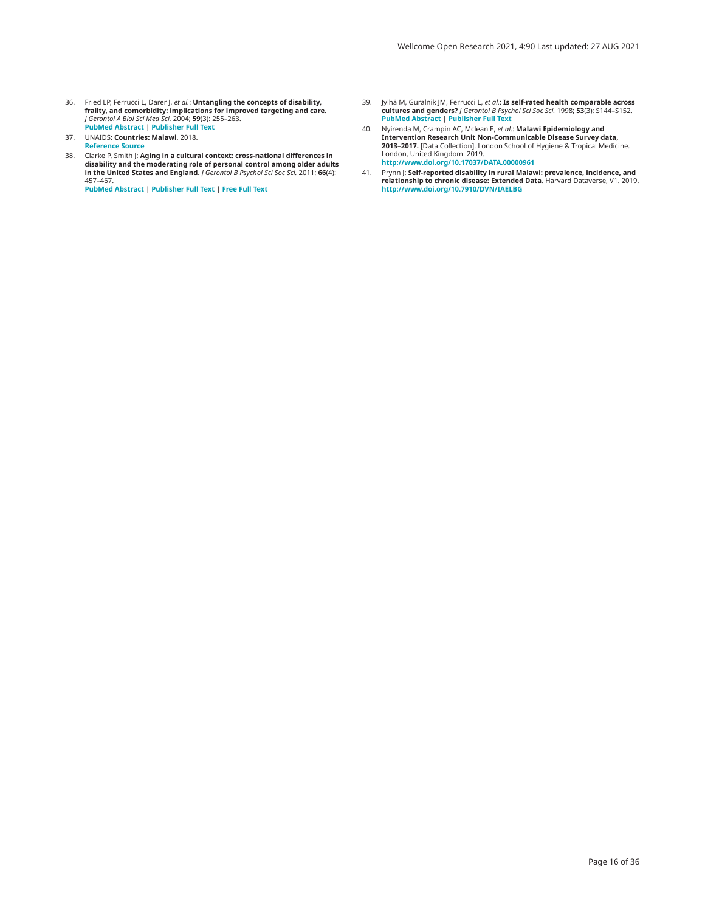- <span id="page-15-0"></span>36. Fried LP, Ferrucci L, Darer J, *et al.*: **Untangling the concepts of disability,**<br>frailty, and comorbidity: implications for improved targeting and care.<br>J Gerontol A Biol Sci Med Sci. 2004; 59(3): 255–263.<br>PubMed Abst
- 37. UNAIDS: **Countries: Malawi**. 2018. **[Reference](https://www.unaids.org/en/regionscountries/countries/malawi) Source**
- 38. Clarke P, Smith J: **Aging in a cultural context: cross-national differences in**<br>disability and the moderating role of personal control among older adults<br>in the United States and England. J Gerontol B Psychol Sci Soc S

**PubMed [Abstract](http://www.ncbi.nlm.nih.gov/pubmed/21666145)** | **[Publisher Full Text](http://dx.doi.org/10.1093/geronb/gbr054)** | **[Free Full Text](http://www.ncbi.nlm.nih.gov/pmc/articles/3132269)**

- 39. Jylhä M, Guralnik JM, Ferrucci L, *et al*.**: Is self-rated health comparable across**<br>**cultures and genders? J Gerontol B Psychol Sci Soc Sci. 1998; <b>53(**3): S144–S152.<br>PubMed [Abstract](http://www.ncbi.nlm.nih.gov/pubmed/9602839) | [Publisher Full Text](http://dx.doi.org/10.1093/geronb/53b.3.s144)
- 40. Nyirenda M, Crampin AC, Mclean E, *et al.*: **Malawi Epidemiology and Intervention Research Unit Non-Communicable Disease Survey data, 2013–2017.** [Data Collection]. London School of Hygiene & Tropical Medicine.<br>London, United Kingdom. 2019.<br><http://www.doi.org/10.17037/DATA.00000961>
- 41. Prynn J: **Self-reported disability in rural Malawi: prevalence, incidence, and<br><b>relationship to chronic disease: Extended Data**. Harvard Dataverse, V1. 2019.<br><http://www.doi.org/10.7910/DVN/IAELBG>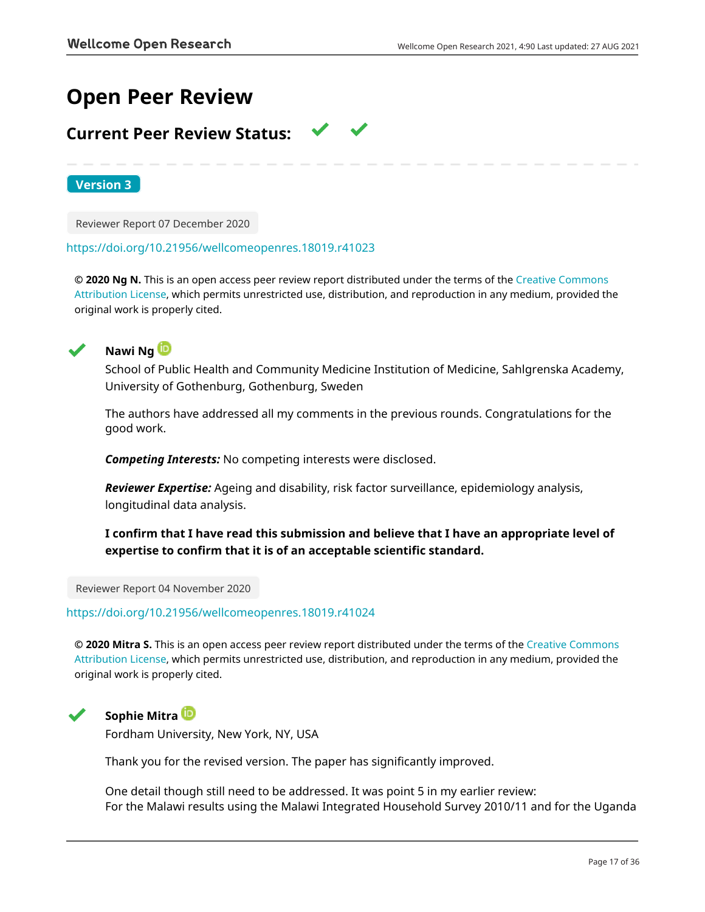# **Open Peer Review**

# **Current Peer Review Status:**

**Version 3**

Reviewer Report 07 December 2020

#### <https://doi.org/10.21956/wellcomeopenres.18019.r41023>

**© 2020 Ng N.** This is an open access peer review report distributed under the terms of the [Creative Commons](https://creativecommons.org/licenses/by/4.0/) [Attribution License](https://creativecommons.org/licenses/by/4.0/), which permits unrestricted use, distribution, and reproduction in any medium, provided the original work is properly cited.



# **Nawi Ng**

School of Public Health and Community Medicine Institution of Medicine, Sahlgrenska Academy, University of Gothenburg, Gothenburg, Sweden

The authors have addressed all my comments in the previous rounds. Congratulations for the good work.

*Competing Interests:* No competing interests were disclosed.

*Reviewer Expertise:* Ageing and disability, risk factor surveillance, epidemiology analysis, longitudinal data analysis.

# **I confirm that I have read this submission and believe that I have an appropriate level of expertise to confirm that it is of an acceptable scientific standard.**

Reviewer Report 04 November 2020

<https://doi.org/10.21956/wellcomeopenres.18019.r41024>

**© 2020 Mitra S.** This is an open access peer review report distributed under the terms of the [Creative Commons](https://creativecommons.org/licenses/by/4.0/) [Attribution License](https://creativecommons.org/licenses/by/4.0/), which permits unrestricted use, distribution, and reproduction in any medium, provided the original work is properly cited.



# **Sophie Mitra**

Fordham University, New York, NY, USA

Thank you for the revised version. The paper has significantly improved.

One detail though still need to be addressed. It was point 5 in my earlier review: For the Malawi results using the Malawi Integrated Household Survey 2010/11 and for the Uganda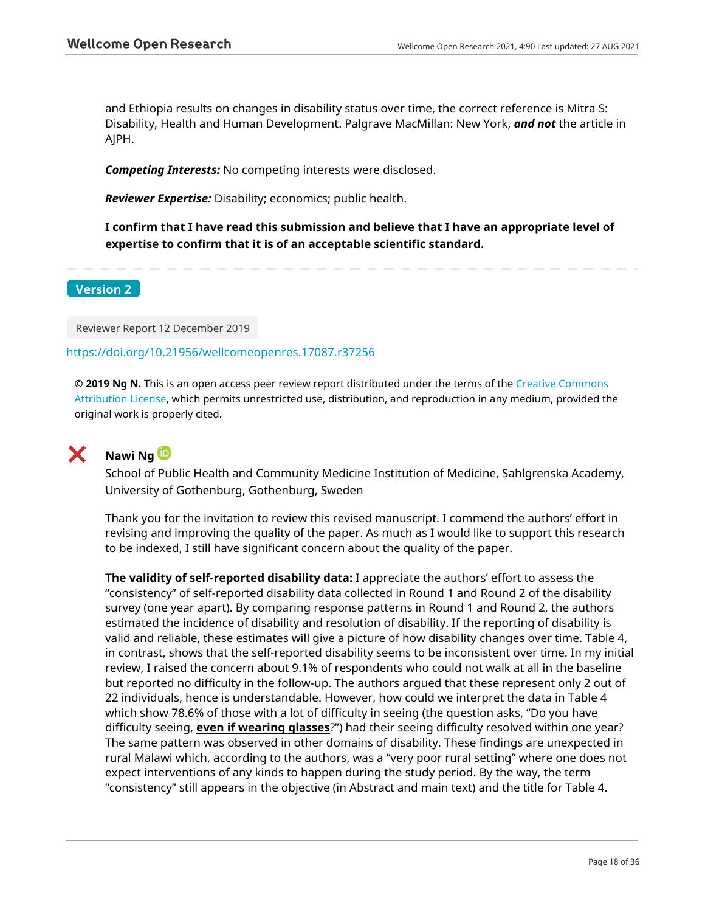and Ethiopia results on changes in disability status over time, the correct reference is Mitra S: Disability, Health and Human Development. Palgrave MacMillan: New York, *and not* the article in AJPH.

*Competing Interests:* No competing interests were disclosed.

*Reviewer Expertise:* Disability; economics; public health.

**I confirm that I have read this submission and believe that I have an appropriate level of expertise to confirm that it is of an acceptable scientific standard.**

## **Version 2**

Reviewer Report 12 December 2019

## <https://doi.org/10.21956/wellcomeopenres.17087.r37256>

**© 2019 Ng N.** This is an open access peer review report distributed under the terms of the [Creative Commons](https://creativecommons.org/licenses/by/4.0/) [Attribution License](https://creativecommons.org/licenses/by/4.0/), which permits unrestricted use, distribution, and reproduction in any medium, provided the original work is properly cited.



# **Nawi Ng**

School of Public Health and Community Medicine Institution of Medicine, Sahlgrenska Academy, University of Gothenburg, Gothenburg, Sweden

Thank you for the invitation to review this revised manuscript. I commend the authors' effort in revising and improving the quality of the paper. As much as I would like to support this research to be indexed, I still have significant concern about the quality of the paper.

**The validity of self-reported disability data:** I appreciate the authors' effort to assess the "consistency" of self-reported disability data collected in Round 1 and Round 2 of the disability survey (one year apart). By comparing response patterns in Round 1 and Round 2, the authors estimated the incidence of disability and resolution of disability. If the reporting of disability is valid and reliable, these estimates will give a picture of how disability changes over time. Table 4, in contrast, shows that the self-reported disability seems to be inconsistent over time. In my initial review, I raised the concern about 9.1% of respondents who could not walk at all in the baseline but reported no difficulty in the follow-up. The authors argued that these represent only 2 out of 22 individuals, hence is understandable. However, how could we interpret the data in Table 4 which show 78.6% of those with a lot of difficulty in seeing (the question asks, "Do you have difficulty seeing, **even if wearing glasses**?") had their seeing difficulty resolved within one year? The same pattern was observed in other domains of disability. These findings are unexpected in rural Malawi which, according to the authors, was a "very poor rural setting" where one does not expect interventions of any kinds to happen during the study period. By the way, the term "consistency" still appears in the objective (in Abstract and main text) and the title for Table 4.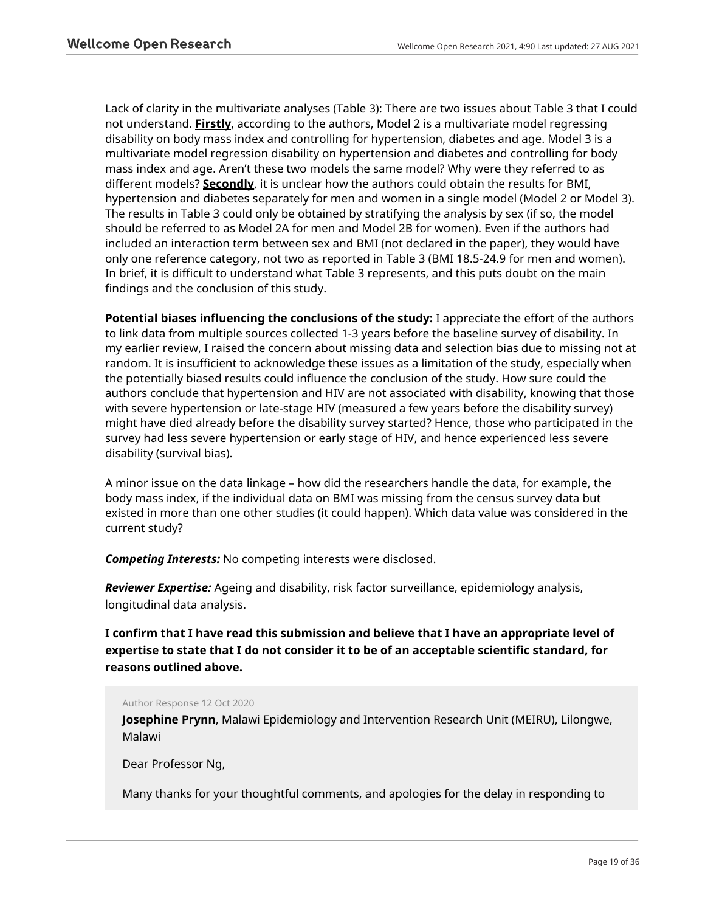Lack of clarity in the multivariate analyses (Table 3): There are two issues about Table 3 that I could not understand. **Firstly**, according to the authors, Model 2 is a multivariate model regressing disability on body mass index and controlling for hypertension, diabetes and age. Model 3 is a multivariate model regression disability on hypertension and diabetes and controlling for body mass index and age. Aren't these two models the same model? Why were they referred to as different models? **Secondly**, it is unclear how the authors could obtain the results for BMI, hypertension and diabetes separately for men and women in a single model (Model 2 or Model 3). The results in Table 3 could only be obtained by stratifying the analysis by sex (if so, the model should be referred to as Model 2A for men and Model 2B for women). Even if the authors had included an interaction term between sex and BMI (not declared in the paper), they would have only one reference category, not two as reported in Table 3 (BMI 18.5-24.9 for men and women). In brief, it is difficult to understand what Table 3 represents, and this puts doubt on the main findings and the conclusion of this study.

**Potential biases influencing the conclusions of the study:** I appreciate the effort of the authors to link data from multiple sources collected 1-3 years before the baseline survey of disability. In my earlier review, I raised the concern about missing data and selection bias due to missing not at random. It is insufficient to acknowledge these issues as a limitation of the study, especially when the potentially biased results could influence the conclusion of the study. How sure could the authors conclude that hypertension and HIV are not associated with disability, knowing that those with severe hypertension or late-stage HIV (measured a few years before the disability survey) might have died already before the disability survey started? Hence, those who participated in the survey had less severe hypertension or early stage of HIV, and hence experienced less severe disability (survival bias).

A minor issue on the data linkage – how did the researchers handle the data, for example, the body mass index, if the individual data on BMI was missing from the census survey data but existed in more than one other studies (it could happen). Which data value was considered in the current study?

*Competing Interests:* No competing interests were disclosed.

*Reviewer Expertise:* Ageing and disability, risk factor surveillance, epidemiology analysis, longitudinal data analysis.

**I confirm that I have read this submission and believe that I have an appropriate level of expertise to state that I do not consider it to be of an acceptable scientific standard, for reasons outlined above.**

Author Response 12 Oct 2020

**Josephine Prynn**, Malawi Epidemiology and Intervention Research Unit (MEIRU), Lilongwe, Malawi

Dear Professor Ng,

Many thanks for your thoughtful comments, and apologies for the delay in responding to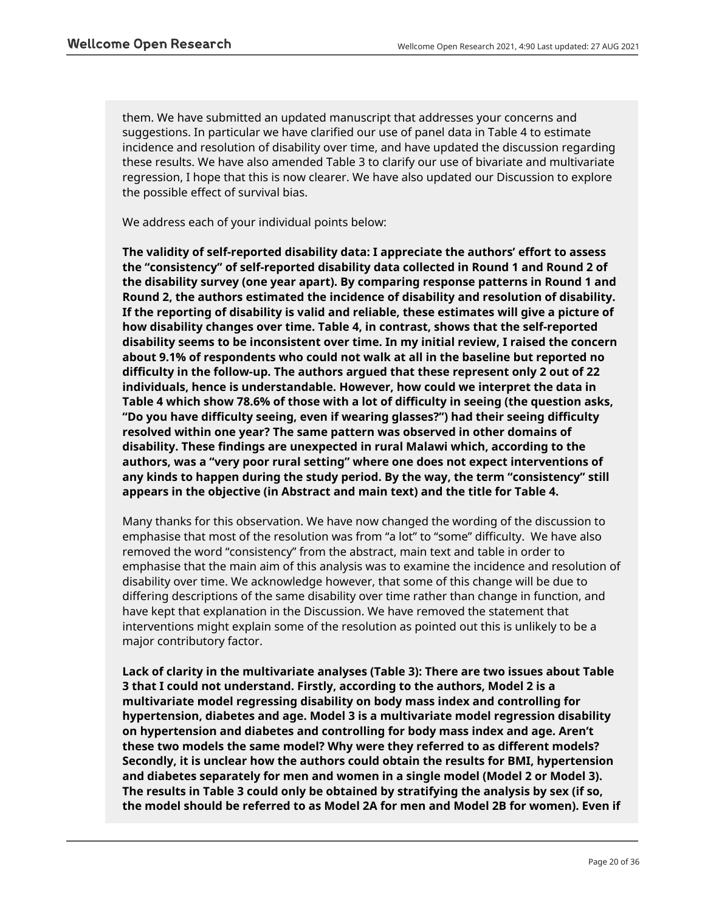them. We have submitted an updated manuscript that addresses your concerns and suggestions. In particular we have clarified our use of panel data in Table 4 to estimate incidence and resolution of disability over time, and have updated the discussion regarding these results. We have also amended Table 3 to clarify our use of bivariate and multivariate regression, I hope that this is now clearer. We have also updated our Discussion to explore the possible effect of survival bias.

We address each of your individual points below:

**The validity of self-reported disability data: I appreciate the authors' effort to assess the "consistency" of self-reported disability data collected in Round 1 and Round 2 of the disability survey (one year apart). By comparing response patterns in Round 1 and Round 2, the authors estimated the incidence of disability and resolution of disability. If the reporting of disability is valid and reliable, these estimates will give a picture of how disability changes over time. Table 4, in contrast, shows that the self-reported disability seems to be inconsistent over time. In my initial review, I raised the concern about 9.1% of respondents who could not walk at all in the baseline but reported no difficulty in the follow-up. The authors argued that these represent only 2 out of 22 individuals, hence is understandable. However, how could we interpret the data in Table 4 which show 78.6% of those with a lot of difficulty in seeing (the question asks, "Do you have difficulty seeing, even if wearing glasses?") had their seeing difficulty resolved within one year? The same pattern was observed in other domains of disability. These findings are unexpected in rural Malawi which, according to the authors, was a "very poor rural setting" where one does not expect interventions of any kinds to happen during the study period. By the way, the term "consistency" still appears in the objective (in Abstract and main text) and the title for Table 4.**

Many thanks for this observation. We have now changed the wording of the discussion to emphasise that most of the resolution was from "a lot" to "some" difficulty. We have also removed the word "consistency" from the abstract, main text and table in order to emphasise that the main aim of this analysis was to examine the incidence and resolution of disability over time. We acknowledge however, that some of this change will be due to differing descriptions of the same disability over time rather than change in function, and have kept that explanation in the Discussion. We have removed the statement that interventions might explain some of the resolution as pointed out this is unlikely to be a major contributory factor.

**Lack of clarity in the multivariate analyses (Table 3): There are two issues about Table 3 that I could not understand. Firstly, according to the authors, Model 2 is a multivariate model regressing disability on body mass index and controlling for hypertension, diabetes and age. Model 3 is a multivariate model regression disability on hypertension and diabetes and controlling for body mass index and age. Aren't these two models the same model? Why were they referred to as different models? Secondly, it is unclear how the authors could obtain the results for BMI, hypertension and diabetes separately for men and women in a single model (Model 2 or Model 3). The results in Table 3 could only be obtained by stratifying the analysis by sex (if so, the model should be referred to as Model 2A for men and Model 2B for women). Even if**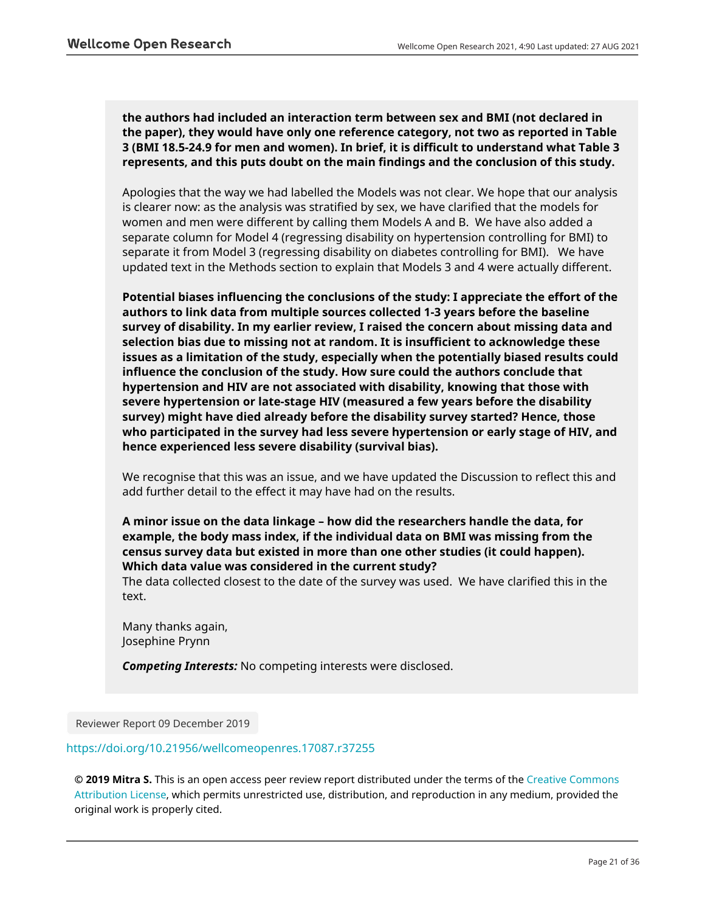**the authors had included an interaction term between sex and BMI (not declared in the paper), they would have only one reference category, not two as reported in Table 3 (BMI 18.5-24.9 for men and women). In brief, it is difficult to understand what Table 3 represents, and this puts doubt on the main findings and the conclusion of this study.** 

Apologies that the way we had labelled the Models was not clear. We hope that our analysis is clearer now: as the analysis was stratified by sex, we have clarified that the models for women and men were different by calling them Models A and B. We have also added a separate column for Model 4 (regressing disability on hypertension controlling for BMI) to separate it from Model 3 (regressing disability on diabetes controlling for BMI). We have updated text in the Methods section to explain that Models 3 and 4 were actually different.

**Potential biases influencing the conclusions of the study: I appreciate the effort of the authors to link data from multiple sources collected 1-3 years before the baseline survey of disability. In my earlier review, I raised the concern about missing data and selection bias due to missing not at random. It is insufficient to acknowledge these issues as a limitation of the study, especially when the potentially biased results could influence the conclusion of the study. How sure could the authors conclude that hypertension and HIV are not associated with disability, knowing that those with severe hypertension or late-stage HIV (measured a few years before the disability survey) might have died already before the disability survey started? Hence, those who participated in the survey had less severe hypertension or early stage of HIV, and hence experienced less severe disability (survival bias).**

We recognise that this was an issue, and we have updated the Discussion to reflect this and add further detail to the effect it may have had on the results.

**A minor issue on the data linkage – how did the researchers handle the data, for example, the body mass index, if the individual data on BMI was missing from the census survey data but existed in more than one other studies (it could happen). Which data value was considered in the current study?**

The data collected closest to the date of the survey was used. We have clarified this in the text.

Many thanks again, Josephine Prynn

*Competing Interests:* No competing interests were disclosed.

Reviewer Report 09 December 2019

## <https://doi.org/10.21956/wellcomeopenres.17087.r37255>

**© 2019 Mitra S.** This is an open access peer review report distributed under the terms of the [Creative Commons](https://creativecommons.org/licenses/by/4.0/) [Attribution License](https://creativecommons.org/licenses/by/4.0/), which permits unrestricted use, distribution, and reproduction in any medium, provided the original work is properly cited.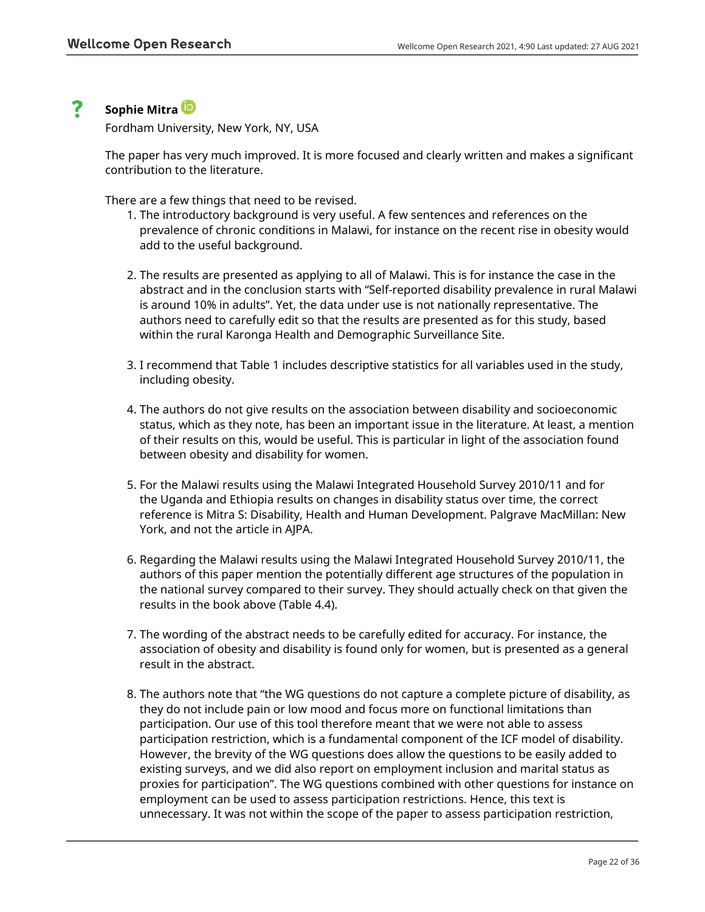#### ? **Sophie Mitra**

Fordham University, New York, NY, USA

The paper has very much improved. It is more focused and clearly written and makes a significant contribution to the literature.

There are a few things that need to be revised.

- 1. The introductory background is very useful. A few sentences and references on the prevalence of chronic conditions in Malawi, for instance on the recent rise in obesity would add to the useful background.
- 2. The results are presented as applying to all of Malawi. This is for instance the case in the abstract and in the conclusion starts with "Self-reported disability prevalence in rural Malawi is around 10% in adults". Yet, the data under use is not nationally representative. The authors need to carefully edit so that the results are presented as for this study, based within the rural Karonga Health and Demographic Surveillance Site.
- 3. I recommend that Table 1 includes descriptive statistics for all variables used in the study, including obesity.
- The authors do not give results on the association between disability and socioeconomic 4. status, which as they note, has been an important issue in the literature. At least, a mention of their results on this, would be useful. This is particular in light of the association found between obesity and disability for women.
- For the Malawi results using the Malawi Integrated Household Survey 2010/11 and for 5. the Uganda and Ethiopia results on changes in disability status over time, the correct reference is Mitra S: Disability, Health and Human Development. Palgrave MacMillan: New York, and not the article in AJPA.
- 6. Regarding the Malawi results using the Malawi Integrated Household Survey 2010/11, the authors of this paper mention the potentially different age structures of the population in the national survey compared to their survey. They should actually check on that given the results in the book above (Table 4.4).
- 7. The wording of the abstract needs to be carefully edited for accuracy. For instance, the association of obesity and disability is found only for women, but is presented as a general result in the abstract.
- 8. The authors note that "the WG questions do not capture a complete picture of disability, as they do not include pain or low mood and focus more on functional limitations than participation. Our use of this tool therefore meant that we were not able to assess participation restriction, which is a fundamental component of the ICF model of disability. However, the brevity of the WG questions does allow the questions to be easily added to existing surveys, and we did also report on employment inclusion and marital status as proxies for participation". The WG questions combined with other questions for instance on employment can be used to assess participation restrictions. Hence, this text is unnecessary. It was not within the scope of the paper to assess participation restriction,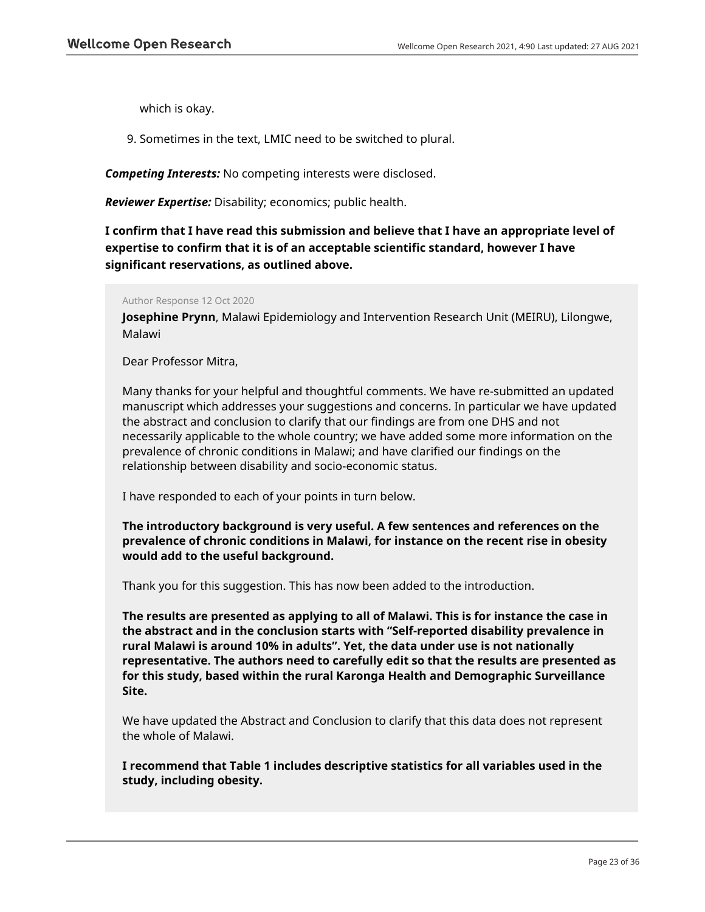which is okay.

9. Sometimes in the text, LMIC need to be switched to plural.

*Competing Interests:* No competing interests were disclosed.

*Reviewer Expertise:* Disability; economics; public health.

**I confirm that I have read this submission and believe that I have an appropriate level of expertise to confirm that it is of an acceptable scientific standard, however I have significant reservations, as outlined above.**

Author Response 12 Oct 2020

**Josephine Prynn**, Malawi Epidemiology and Intervention Research Unit (MEIRU), Lilongwe, Malawi

Dear Professor Mitra,

Many thanks for your helpful and thoughtful comments. We have re-submitted an updated manuscript which addresses your suggestions and concerns. In particular we have updated the abstract and conclusion to clarify that our findings are from one DHS and not necessarily applicable to the whole country; we have added some more information on the prevalence of chronic conditions in Malawi; and have clarified our findings on the relationship between disability and socio-economic status.

I have responded to each of your points in turn below.

**The introductory background is very useful. A few sentences and references on the prevalence of chronic conditions in Malawi, for instance on the recent rise in obesity would add to the useful background.**

Thank you for this suggestion. This has now been added to the introduction.

**The results are presented as applying to all of Malawi. This is for instance the case in the abstract and in the conclusion starts with "Self-reported disability prevalence in rural Malawi is around 10% in adults". Yet, the data under use is not nationally representative. The authors need to carefully edit so that the results are presented as for this study, based within the rural Karonga Health and Demographic Surveillance Site.**

We have updated the Abstract and Conclusion to clarify that this data does not represent the whole of Malawi.

**I recommend that Table 1 includes descriptive statistics for all variables used in the study, including obesity.**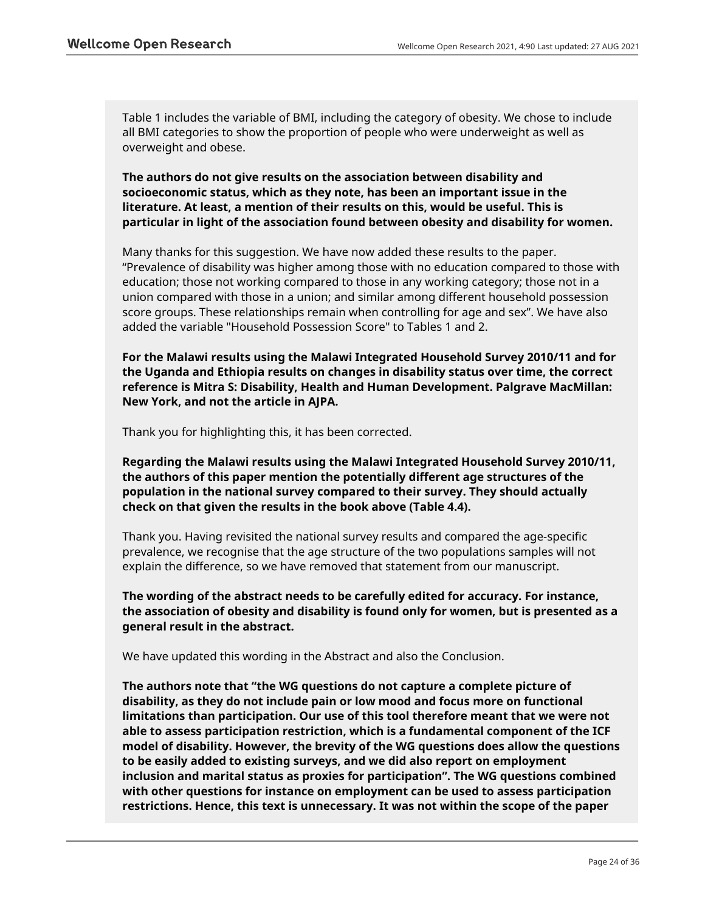Table 1 includes the variable of BMI, including the category of obesity. We chose to include all BMI categories to show the proportion of people who were underweight as well as overweight and obese.

**The authors do not give results on the association between disability and socioeconomic status, which as they note, has been an important issue in the literature. At least, a mention of their results on this, would be useful. This is particular in light of the association found between obesity and disability for women.**

Many thanks for this suggestion. We have now added these results to the paper. "Prevalence of disability was higher among those with no education compared to those with education; those not working compared to those in any working category; those not in a union compared with those in a union; and similar among different household possession score groups. These relationships remain when controlling for age and sex". We have also added the variable "Household Possession Score" to Tables 1 and 2.

**For the Malawi results using the Malawi Integrated Household Survey 2010/11 and for the Uganda and Ethiopia results on changes in disability status over time, the correct reference is Mitra S: Disability, Health and Human Development. Palgrave MacMillan: New York, and not the article in AJPA.**

Thank you for highlighting this, it has been corrected.

**Regarding the Malawi results using the Malawi Integrated Household Survey 2010/11, the authors of this paper mention the potentially different age structures of the population in the national survey compared to their survey. They should actually check on that given the results in the book above (Table 4.4).**

Thank you. Having revisited the national survey results and compared the age-specific prevalence, we recognise that the age structure of the two populations samples will not explain the difference, so we have removed that statement from our manuscript.

**The wording of the abstract needs to be carefully edited for accuracy. For instance, the association of obesity and disability is found only for women, but is presented as a general result in the abstract.**

We have updated this wording in the Abstract and also the Conclusion.

**The authors note that "the WG questions do not capture a complete picture of disability, as they do not include pain or low mood and focus more on functional limitations than participation. Our use of this tool therefore meant that we were not able to assess participation restriction, which is a fundamental component of the ICF model of disability. However, the brevity of the WG questions does allow the questions to be easily added to existing surveys, and we did also report on employment inclusion and marital status as proxies for participation". The WG questions combined with other questions for instance on employment can be used to assess participation restrictions. Hence, this text is unnecessary. It was not within the scope of the paper**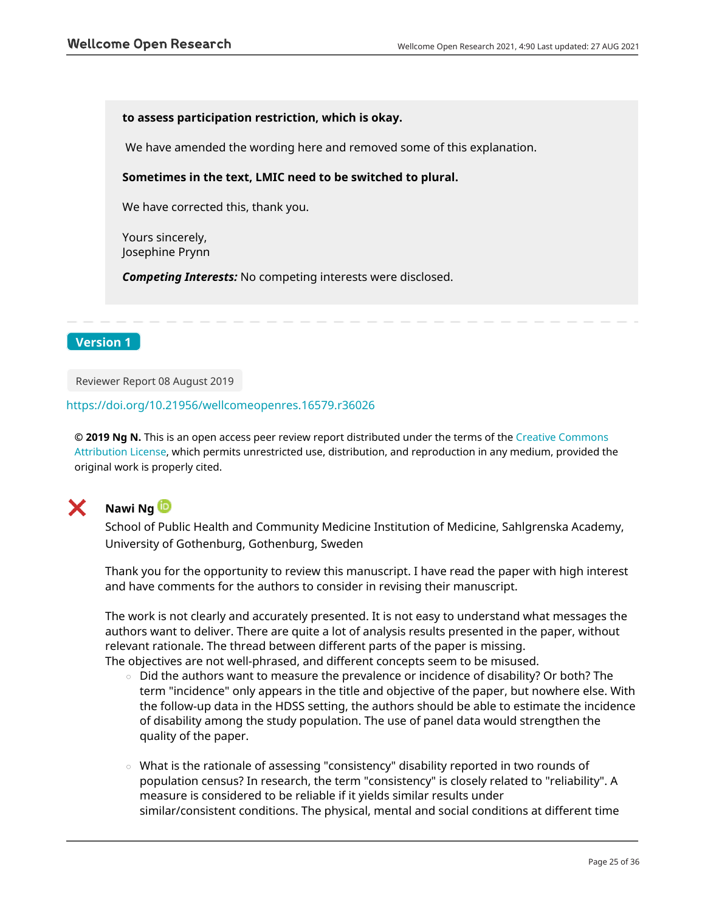#### **to assess participation restriction, which is okay.**

We have amended the wording here and removed some of this explanation.

#### **Sometimes in the text, LMIC need to be switched to plural.**

We have corrected this, thank you.

Yours sincerely, Josephine Prynn

*Competing Interests:* No competing interests were disclosed.

## **Version 1**

Reviewer Report 08 August 2019

#### <https://doi.org/10.21956/wellcomeopenres.16579.r36026>

**© 2019 Ng N.** This is an open access peer review report distributed under the terms of the [Creative Commons](https://creativecommons.org/licenses/by/4.0/) [Attribution License](https://creativecommons.org/licenses/by/4.0/), which permits unrestricted use, distribution, and reproduction in any medium, provided the original work is properly cited.



# **Nawi Ng**

School of Public Health and Community Medicine Institution of Medicine, Sahlgrenska Academy, University of Gothenburg, Gothenburg, Sweden

Thank you for the opportunity to review this manuscript. I have read the paper with high interest and have comments for the authors to consider in revising their manuscript.

The work is not clearly and accurately presented. It is not easy to understand what messages the authors want to deliver. There are quite a lot of analysis results presented in the paper, without relevant rationale. The thread between different parts of the paper is missing. The objectives are not well-phrased, and different concepts seem to be misused.

- $\,\circ\,\,$  Did the authors want to measure the prevalence or incidence of disability? Or both? The term "incidence" only appears in the title and objective of the paper, but nowhere else. With the follow-up data in the HDSS setting, the authors should be able to estimate the incidence of disability among the study population. The use of panel data would strengthen the quality of the paper.
- $\,\circ\,$  What is the rationale of assessing "consistency" disability reported in two rounds of population census? In research, the term "consistency" is closely related to "reliability". A measure is considered to be reliable if it yields similar results under similar/consistent conditions. The physical, mental and social conditions at different time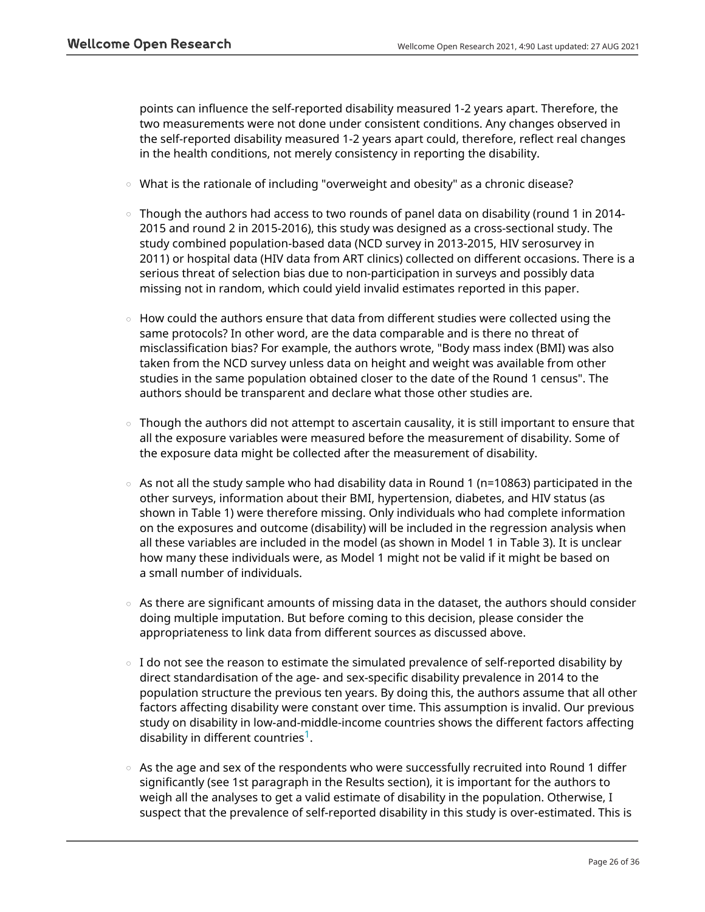points can influence the self-reported disability measured 1-2 years apart. Therefore, the two measurements were not done under consistent conditions. Any changes observed in the self-reported disability measured 1-2 years apart could, therefore, reflect real changes in the health conditions, not merely consistency in reporting the disability.

- What is the rationale of including "overweight and obesity" as a chronic disease?
- $\, \circ \,$  Though the authors had access to two rounds of panel data on disability (round 1 in 2014-2015 and round 2 in 2015-2016), this study was designed as a cross-sectional study. The study combined population-based data (NCD survey in 2013-2015, HIV serosurvey in 2011) or hospital data (HIV data from ART clinics) collected on different occasions. There is a serious threat of selection bias due to non-participation in surveys and possibly data missing not in random, which could yield invalid estimates reported in this paper.
- How could the authors ensure that data from different studies were collected using the same protocols? In other word, are the data comparable and is there no threat of misclassification bias? For example, the authors wrote, "Body mass index (BMI) was also taken from the NCD survey unless data on height and weight was available from other studies in the same population obtained closer to the date of the Round 1 census". The authors should be transparent and declare what those other studies are.
- Though the authors did not attempt to ascertain causality, it is still important to ensure that all the exposure variables were measured before the measurement of disability. Some of the exposure data might be collected after the measurement of disability. ○
- As not all the study sample who had disability data in Round 1 (n=10863) participated in the other surveys, information about their BMI, hypertension, diabetes, and HIV status (as shown in Table 1) were therefore missing. Only individuals who had complete information on the exposures and outcome (disability) will be included in the regression analysis when all these variables are included in the model (as shown in Model 1 in Table 3). It is unclear how many these individuals were, as Model 1 might not be valid if it might be based on a small number of individuals. ○
- As there are significant amounts of missing data in the dataset, the authors should consider doing multiple imputation. But before coming to this decision, please consider the appropriateness to link data from different sources as discussed above.
- $\,\circ\,$  I do not see the reason to estimate the simulated prevalence of self-reported disability by direct standardisation of the age- and sex-specific disability prevalence in 2014 to the population structure the previous ten years. By doing this, the authors assume that all other factors affecting disability were constant over time. This assumption is invalid. Our previous study on disability in low-and-middle-income countries shows the different factors affecting disability in different countries<sup>[1](jar:file:/work/f1000research/webapps/ROOT/WEB-INF/lib/service-1.0-SNAPSHOT.jar!/com/f1000research/service/export/pdf/#rep-ref-36026-1)</sup>.
- As the age and sex of the respondents who were successfully recruited into Round 1 differ significantly (see 1st paragraph in the Results section), it is important for the authors to weigh all the analyses to get a valid estimate of disability in the population. Otherwise, I suspect that the prevalence of self-reported disability in this study is over-estimated. This is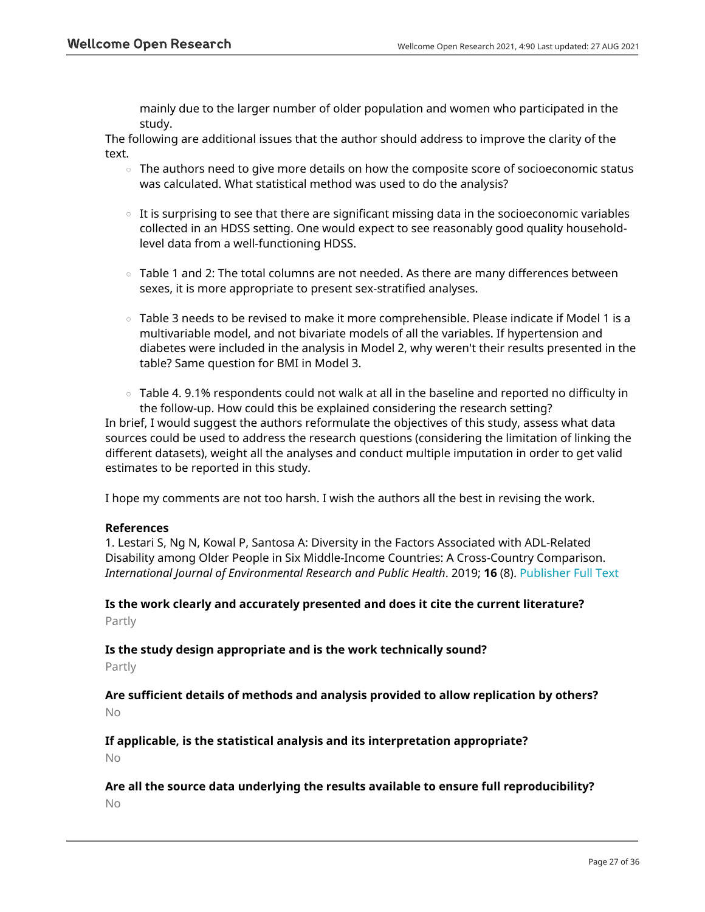mainly due to the larger number of older population and women who participated in the study.

The following are additional issues that the author should address to improve the clarity of the text.

- $\circ$   $\,$  The authors need to give more details on how the composite score of socioeconomic status was calculated. What statistical method was used to do the analysis?
- $\,\circ\,$  It is surprising to see that there are significant missing data in the socioeconomic variables collected in an HDSS setting. One would expect to see reasonably good quality householdlevel data from a well-functioning HDSS.
- Table 1 and 2: The total columns are not needed. As there are many differences between sexes, it is more appropriate to present sex-stratified analyses.
- $\circ$   $\,$  Table 3 needs to be revised to make it more comprehensible. Please indicate if Model 1 is a multivariable model, and not bivariate models of all the variables. If hypertension and diabetes were included in the analysis in Model 2, why weren't their results presented in the table? Same question for BMI in Model 3.
- $\,\circ\,$  Table 4. 9.1% respondents could not walk at all in the baseline and reported no difficulty in the follow-up. How could this be explained considering the research setting?

In brief, I would suggest the authors reformulate the objectives of this study, assess what data sources could be used to address the research questions (considering the limitation of linking the different datasets), weight all the analyses and conduct multiple imputation in order to get valid estimates to be reported in this study.

I hope my comments are not too harsh. I wish the authors all the best in revising the work.

## **References**

1. Lestari S, Ng N, Kowal P, Santosa A: Diversity in the Factors Associated with ADL-Related Disability among Older People in Six Middle-Income Countries: A Cross-Country Comparison. *International Journal of Environmental Research and Public Health*. 2019; **16** (8). [Publisher Full Text](https://doi.org/10.3390/ijerph16081341)

# **Is the work clearly and accurately presented and does it cite the current literature?** Partly

## **Is the study design appropriate and is the work technically sound?**

Partly

**Are sufficient details of methods and analysis provided to allow replication by others?** No

**If applicable, is the statistical analysis and its interpretation appropriate?** No

**Are all the source data underlying the results available to ensure full reproducibility?** No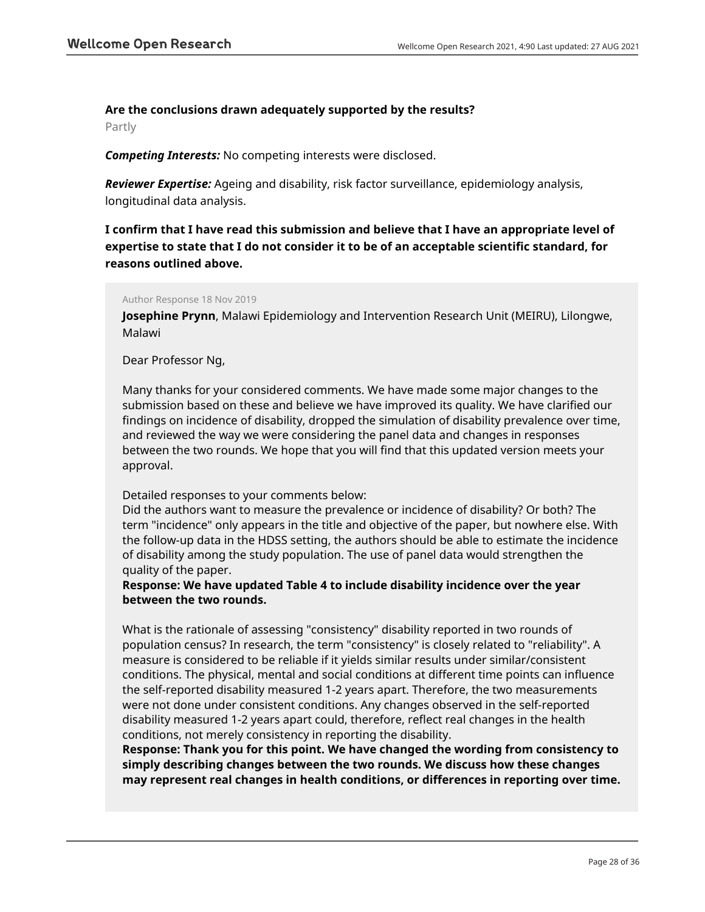## **Are the conclusions drawn adequately supported by the results?**

Partly

*Competing Interests:* No competing interests were disclosed.

*Reviewer Expertise:* Ageing and disability, risk factor surveillance, epidemiology analysis, longitudinal data analysis.

**I confirm that I have read this submission and believe that I have an appropriate level of expertise to state that I do not consider it to be of an acceptable scientific standard, for reasons outlined above.**

#### Author Response 18 Nov 2019

**Josephine Prynn**, Malawi Epidemiology and Intervention Research Unit (MEIRU), Lilongwe, Malawi

## Dear Professor Ng,

Many thanks for your considered comments. We have made some major changes to the submission based on these and believe we have improved its quality. We have clarified our findings on incidence of disability, dropped the simulation of disability prevalence over time, and reviewed the way we were considering the panel data and changes in responses between the two rounds. We hope that you will find that this updated version meets your approval.

## Detailed responses to your comments below:

Did the authors want to measure the prevalence or incidence of disability? Or both? The term "incidence" only appears in the title and objective of the paper, but nowhere else. With the follow-up data in the HDSS setting, the authors should be able to estimate the incidence of disability among the study population. The use of panel data would strengthen the quality of the paper.

## **Response: We have updated Table 4 to include disability incidence over the year between the two rounds.**

What is the rationale of assessing "consistency" disability reported in two rounds of population census? In research, the term "consistency" is closely related to "reliability". A measure is considered to be reliable if it yields similar results under similar/consistent conditions. The physical, mental and social conditions at different time points can influence the self-reported disability measured 1-2 years apart. Therefore, the two measurements were not done under consistent conditions. Any changes observed in the self-reported disability measured 1-2 years apart could, therefore, reflect real changes in the health conditions, not merely consistency in reporting the disability.

**Response: Thank you for this point. We have changed the wording from consistency to simply describing changes between the two rounds. We discuss how these changes may represent real changes in health conditions, or differences in reporting over time.**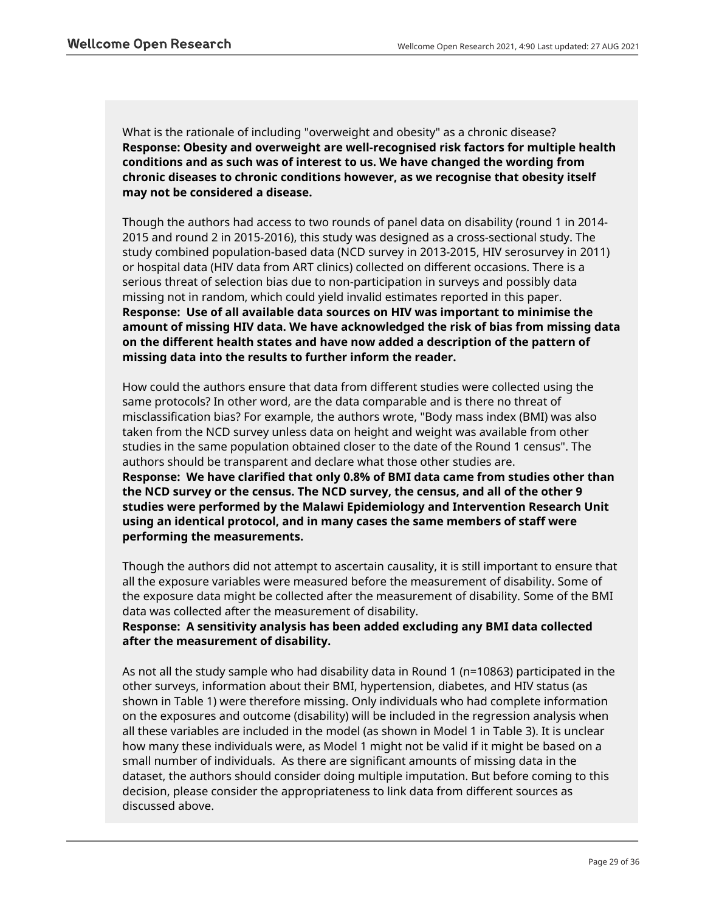What is the rationale of including "overweight and obesity" as a chronic disease? **Response: Obesity and overweight are well-recognised risk factors for multiple health conditions and as such was of interest to us. We have changed the wording from chronic diseases to chronic conditions however, as we recognise that obesity itself may not be considered a disease.** 

Though the authors had access to two rounds of panel data on disability (round 1 in 2014- 2015 and round 2 in 2015-2016), this study was designed as a cross-sectional study. The study combined population-based data (NCD survey in 2013-2015, HIV serosurvey in 2011) or hospital data (HIV data from ART clinics) collected on different occasions. There is a serious threat of selection bias due to non-participation in surveys and possibly data missing not in random, which could yield invalid estimates reported in this paper. **Response: Use of all available data sources on HIV was important to minimise the amount of missing HIV data. We have acknowledged the risk of bias from missing data on the different health states and have now added a description of the pattern of missing data into the results to further inform the reader.** 

How could the authors ensure that data from different studies were collected using the same protocols? In other word, are the data comparable and is there no threat of misclassification bias? For example, the authors wrote, "Body mass index (BMI) was also taken from the NCD survey unless data on height and weight was available from other studies in the same population obtained closer to the date of the Round 1 census". The authors should be transparent and declare what those other studies are. **Response: We have clarified that only 0.8% of BMI data came from studies other than the NCD survey or the census. The NCD survey, the census, and all of the other 9 studies were performed by the Malawi Epidemiology and Intervention Research Unit using an identical protocol, and in many cases the same members of staff were performing the measurements.** 

Though the authors did not attempt to ascertain causality, it is still important to ensure that all the exposure variables were measured before the measurement of disability. Some of the exposure data might be collected after the measurement of disability. Some of the BMI data was collected after the measurement of disability.

# **Response: A sensitivity analysis has been added excluding any BMI data collected after the measurement of disability.**

As not all the study sample who had disability data in Round 1 (n=10863) participated in the other surveys, information about their BMI, hypertension, diabetes, and HIV status (as shown in Table 1) were therefore missing. Only individuals who had complete information on the exposures and outcome (disability) will be included in the regression analysis when all these variables are included in the model (as shown in Model 1 in Table 3). It is unclear how many these individuals were, as Model 1 might not be valid if it might be based on a small number of individuals. As there are significant amounts of missing data in the dataset, the authors should consider doing multiple imputation. But before coming to this decision, please consider the appropriateness to link data from different sources as discussed above.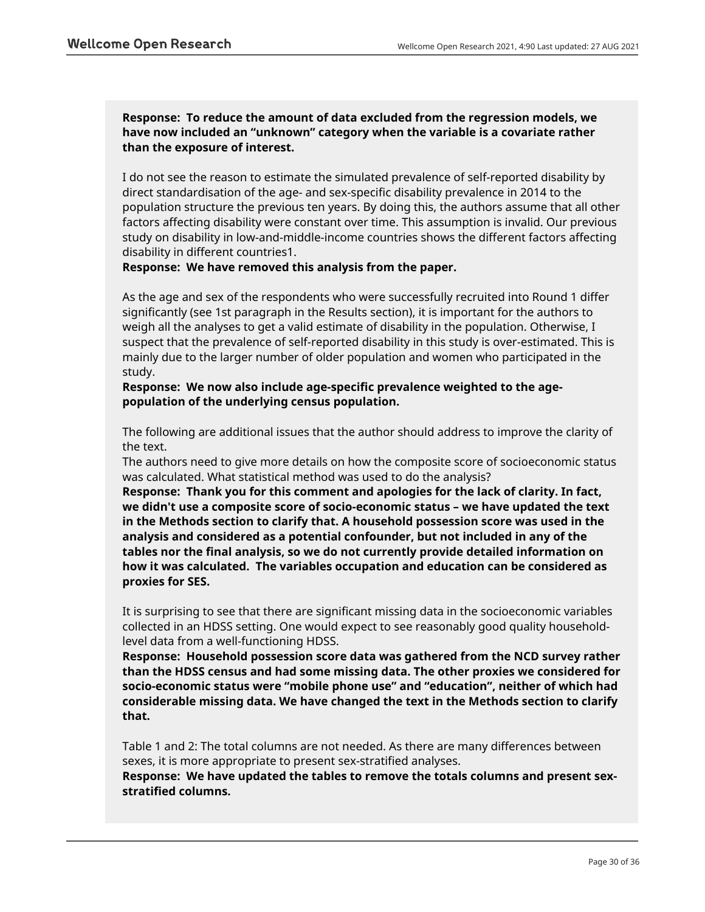# **Response: To reduce the amount of data excluded from the regression models, we have now included an "unknown" category when the variable is a covariate rather than the exposure of interest.**

I do not see the reason to estimate the simulated prevalence of self-reported disability by direct standardisation of the age- and sex-specific disability prevalence in 2014 to the population structure the previous ten years. By doing this, the authors assume that all other factors affecting disability were constant over time. This assumption is invalid. Our previous study on disability in low-and-middle-income countries shows the different factors affecting disability in different countries1.

**Response: We have removed this analysis from the paper.** 

As the age and sex of the respondents who were successfully recruited into Round 1 differ significantly (see 1st paragraph in the Results section), it is important for the authors to weigh all the analyses to get a valid estimate of disability in the population. Otherwise, I suspect that the prevalence of self-reported disability in this study is over-estimated. This is mainly due to the larger number of older population and women who participated in the study.

**Response: We now also include age-specific prevalence weighted to the agepopulation of the underlying census population.**

The following are additional issues that the author should address to improve the clarity of the text.

The authors need to give more details on how the composite score of socioeconomic status was calculated. What statistical method was used to do the analysis?

**Response: Thank you for this comment and apologies for the lack of clarity. In fact, we didn't use a composite score of socio-economic status – we have updated the text in the Methods section to clarify that. A household possession score was used in the analysis and considered as a potential confounder, but not included in any of the tables nor the final analysis, so we do not currently provide detailed information on how it was calculated. The variables occupation and education can be considered as proxies for SES.** 

It is surprising to see that there are significant missing data in the socioeconomic variables collected in an HDSS setting. One would expect to see reasonably good quality householdlevel data from a well-functioning HDSS.

**Response: Household possession score data was gathered from the NCD survey rather than the HDSS census and had some missing data. The other proxies we considered for socio-economic status were "mobile phone use" and "education", neither of which had considerable missing data. We have changed the text in the Methods section to clarify that.**

Table 1 and 2: The total columns are not needed. As there are many differences between sexes, it is more appropriate to present sex-stratified analyses.

**Response: We have updated the tables to remove the totals columns and present sexstratified columns.**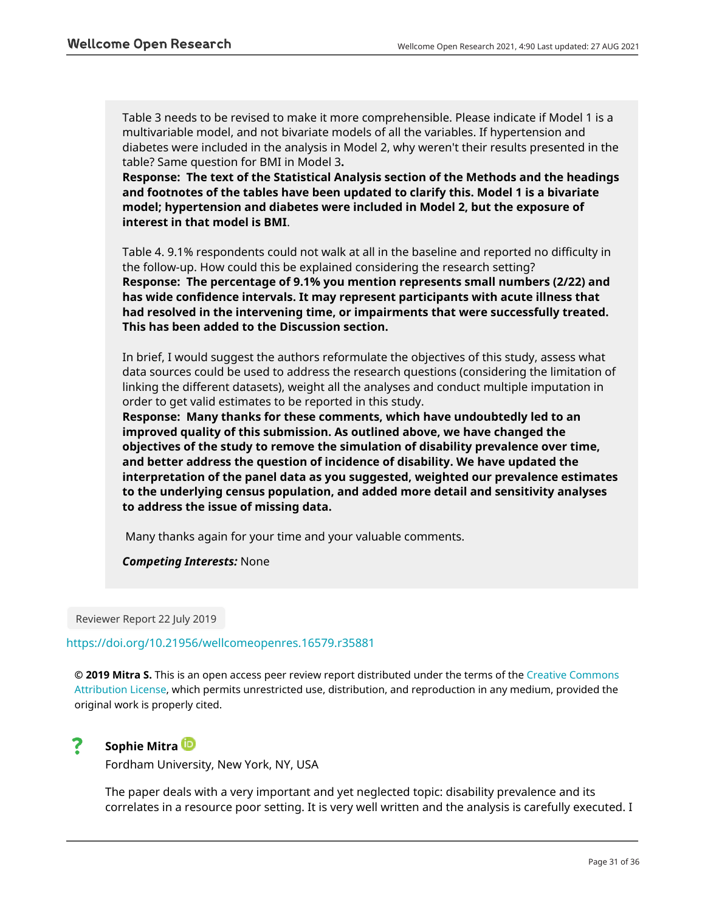Table 3 needs to be revised to make it more comprehensible. Please indicate if Model 1 is a multivariable model, and not bivariate models of all the variables. If hypertension and diabetes were included in the analysis in Model 2, why weren't their results presented in the table? Same question for BMI in Model 3**.** 

**Response: The text of the Statistical Analysis section of the Methods and the headings and footnotes of the tables have been updated to clarify this. Model 1 is a bivariate model; hypertension and diabetes were included in Model 2, but the exposure of interest in that model is BMI**.

Table 4. 9.1% respondents could not walk at all in the baseline and reported no difficulty in the follow-up. How could this be explained considering the research setting? **Response: The percentage of 9.1% you mention represents small numbers (2/22) and has wide confidence intervals. It may represent participants with acute illness that had resolved in the intervening time, or impairments that were successfully treated. This has been added to the Discussion section.**

In brief, I would suggest the authors reformulate the objectives of this study, assess what data sources could be used to address the research questions (considering the limitation of linking the different datasets), weight all the analyses and conduct multiple imputation in order to get valid estimates to be reported in this study.

**Response: Many thanks for these comments, which have undoubtedly led to an improved quality of this submission. As outlined above, we have changed the objectives of the study to remove the simulation of disability prevalence over time, and better address the question of incidence of disability. We have updated the interpretation of the panel data as you suggested, weighted our prevalence estimates to the underlying census population, and added more detail and sensitivity analyses to address the issue of missing data.** 

Many thanks again for your time and your valuable comments.

*Competing Interests:* None

Reviewer Report 22 July 2019

## <https://doi.org/10.21956/wellcomeopenres.16579.r35881>

**© 2019 Mitra S.** This is an open access peer review report distributed under the terms of the [Creative Commons](https://creativecommons.org/licenses/by/4.0/) [Attribution License](https://creativecommons.org/licenses/by/4.0/), which permits unrestricted use, distribution, and reproduction in any medium, provided the original work is properly cited.

#### 7 **Sophie Mitra**

Fordham University, New York, NY, USA

The paper deals with a very important and yet neglected topic: disability prevalence and its correlates in a resource poor setting. It is very well written and the analysis is carefully executed. I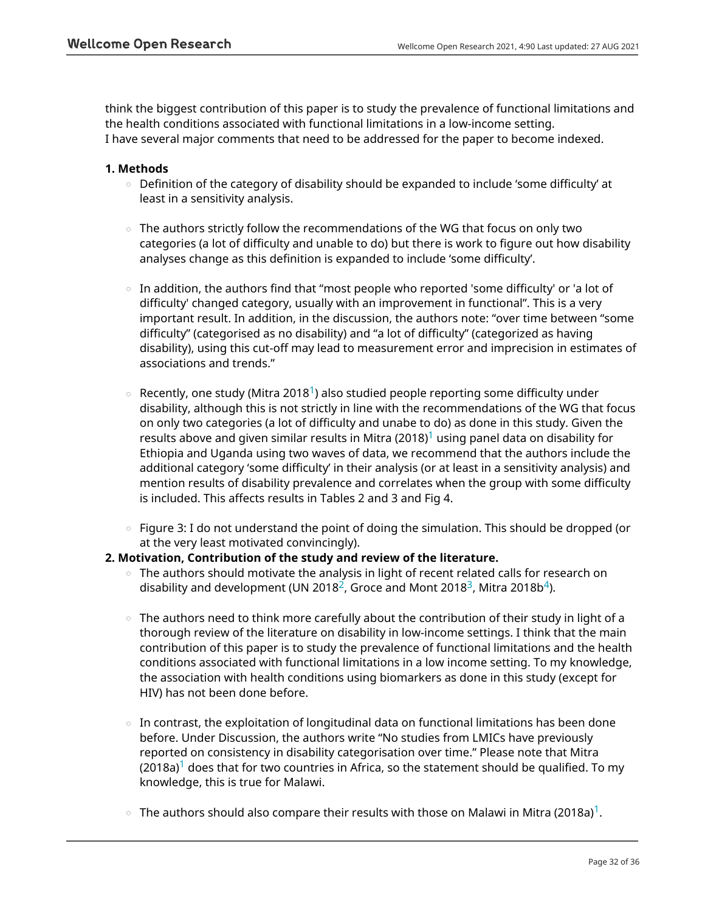think the biggest contribution of this paper is to study the prevalence of functional limitations and the health conditions associated with functional limitations in a low-income setting. I have several major comments that need to be addressed for the paper to become indexed.

#### **1. Methods**

- $\circ$   $\,$  Definition of the category of disability should be expanded to include 'some difficulty' at least in a sensitivity analysis.
- $\circ~$  The authors strictly follow the recommendations of the WG that focus on only two categories (a lot of difficulty and unable to do) but there is work to figure out how disability analyses change as this definition is expanded to include 'some difficulty'.
- In addition, the authors find that "most people who reported 'some difficulty' or 'a lot of difficulty' changed category, usually with an improvement in functional". This is a very important result. In addition, in the discussion, the authors note: "over time between "some difficulty" (categorised as no disability) and "a lot of difficulty" (categorized as having disability), using this cut-off may lead to measurement error and imprecision in estimates of associations and trends."
- Recently, one study (Mitra 20[1](jar:file:/work/f1000research/webapps/ROOT/WEB-INF/lib/service-1.0-SNAPSHOT.jar!/com/f1000research/service/export/pdf/#rep-ref-35881-1)8<sup>1</sup>) also studied people reporting some difficulty under disability, although this is not strictly in line with the recommendations of the WG that focus on only two categories (a lot of difficulty and unabe to do) as done in this study. Given the results above and given similar results in Mitra (20[1](jar:file:/work/f1000research/webapps/ROOT/WEB-INF/lib/service-1.0-SNAPSHOT.jar!/com/f1000research/service/export/pdf/#rep-ref-35881-1)8)<sup>1</sup> using panel data on disability for Ethiopia and Uganda using two waves of data, we recommend that the authors include the additional category 'some difficulty' in their analysis (or at least in a sensitivity analysis) and mention results of disability prevalence and correlates when the group with some difficulty is included. This affects results in Tables 2 and 3 and Fig 4.  $\circ$
- $\,\circ\,$  Figure 3: I do not understand the point of doing the simulation. This should be dropped (or at the very least motivated convincingly).

## **2. Motivation, Contribution of the study and review of the literature.**

- $\,\circ\,$  The authors should motivate the analysis in light of recent related calls for research on disability and development (UN [2](jar:file:/work/f1000research/webapps/ROOT/WEB-INF/lib/service-1.0-SNAPSHOT.jar!/com/f1000research/service/export/pdf/#rep-ref-35881-2)018<sup>2</sup>, Groce and Mont 2018<sup>[3](jar:file:/work/f1000research/webapps/ROOT/WEB-INF/lib/service-1.0-SNAPSHOT.jar!/com/f1000research/service/export/pdf/#rep-ref-35881-3)</sup>, Mitra 2018b<sup>[4](jar:file:/work/f1000research/webapps/ROOT/WEB-INF/lib/service-1.0-SNAPSHOT.jar!/com/f1000research/service/export/pdf/#rep-ref-35881-4)</sup>).
- $\,\circ\,$  The authors need to think more carefully about the contribution of their study in light of a thorough review of the literature on disability in low-income settings. I think that the main contribution of this paper is to study the prevalence of functional limitations and the health conditions associated with functional limitations in a low income setting. To my knowledge, the association with health conditions using biomarkers as done in this study (except for HIV) has not been done before.
- $\,\circ\,$  In contrast, the exploitation of longitudinal data on functional limitations has been done before. Under Discussion, the authors write "No studies from LMICs have previously reported on consistency in disability categorisation over time." Please note that Mitra  $(2018a)^1$  $(2018a)^1$  $(2018a)^1$  does that for two countries in Africa, so the statement should be qualified. To my knowledge, this is true for Malawi.
- $\,\circ\,$  The authors should also compare their results with those on Malawi in Mitra (20[1](jar:file:/work/f1000research/webapps/ROOT/WEB-INF/lib/service-1.0-SNAPSHOT.jar!/com/f1000research/service/export/pdf/#rep-ref-35881-1)8a) $^1$ .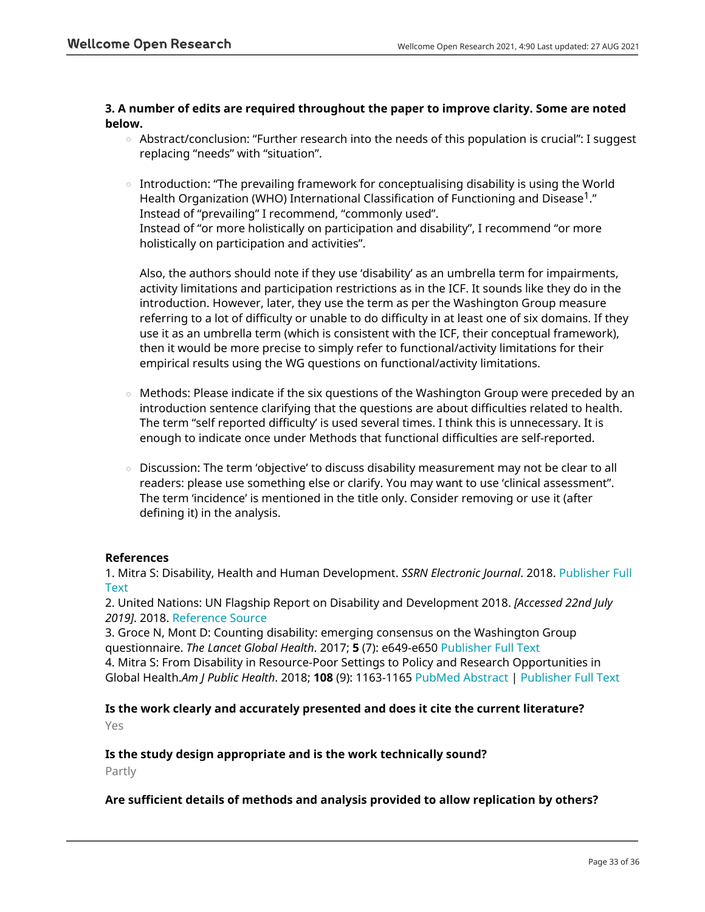## **3. A number of edits are required throughout the paper to improve clarity. Some are noted below.**

- $\circ$   $\,$  Abstract/conclusion: "Further research into the needs of this population is crucial": I suggest replacing "needs" with "situation".
- $\circ$   $\,$  Introduction: "The prevailing framework for conceptualising disability is using the World Health Organization (WHO) International Classification of Functioning and Disease<sup>1</sup>." Instead of "prevailing" I recommend, "commonly used". Instead of "or more holistically on participation and disability", I recommend "or more holistically on participation and activities".

Also, the authors should note if they use 'disability' as an umbrella term for impairments, activity limitations and participation restrictions as in the ICF. It sounds like they do in the introduction. However, later, they use the term as per the Washington Group measure referring to a lot of difficulty or unable to do difficulty in at least one of six domains. If they use it as an umbrella term (which is consistent with the ICF, their conceptual framework), then it would be more precise to simply refer to functional/activity limitations for their empirical results using the WG questions on functional/activity limitations.

- $\circ$   $\,$  Methods: Please indicate if the six questions of the Washington Group were preceded by an introduction sentence clarifying that the questions are about difficulties related to health. The term "self reported difficulty' is used several times. I think this is unnecessary. It is enough to indicate once under Methods that functional difficulties are self-reported.
- Discussion: The term 'objective' to discuss disability measurement may not be clear to all readers: please use something else or clarify. You may want to use 'clinical assessment". The term 'incidence' is mentioned in the title only. Consider removing or use it (after defining it) in the analysis. ○

# **References**

1. Mitra S: Disability, Health and Human Development. *SSRN Electronic Journal*. 2018. [Publisher Full](https://doi.org/10.2139/ssrn.3097355) [Text](https://doi.org/10.2139/ssrn.3097355)

2. United Nations: UN Flagship Report on Disability and Development 2018. *[Accessed 22nd July 2019]*. 2018. [Reference Source](https://www.un.org/development/desa/disabilities/wp-content/uploads/sites/15/2018/12/UN-Flagship-Report-Disability.pdf)

3. Groce N, Mont D: Counting disability: emerging consensus on the Washington Group questionnaire. *The Lancet Global Health*. 2017; **5** (7): e649-e650 [Publisher Full Text](https://doi.org/10.1016/S2214-109X(17)30207-3) 4. Mitra S: From Disability in Resource-Poor Settings to Policy and Research Opportunities in Global Health.*Am J Public Health*. 2018; **108** (9): 1163-1165 [PubMed Abstract](http://www.ncbi.nlm.nih.gov/pubmed/30089002) | [Publisher Full Text](https://doi.org/10.2105/AJPH.2018.304597)

# **Is the work clearly and accurately presented and does it cite the current literature?**

Yes

## **Is the study design appropriate and is the work technically sound?**

Partly

## **Are sufficient details of methods and analysis provided to allow replication by others?**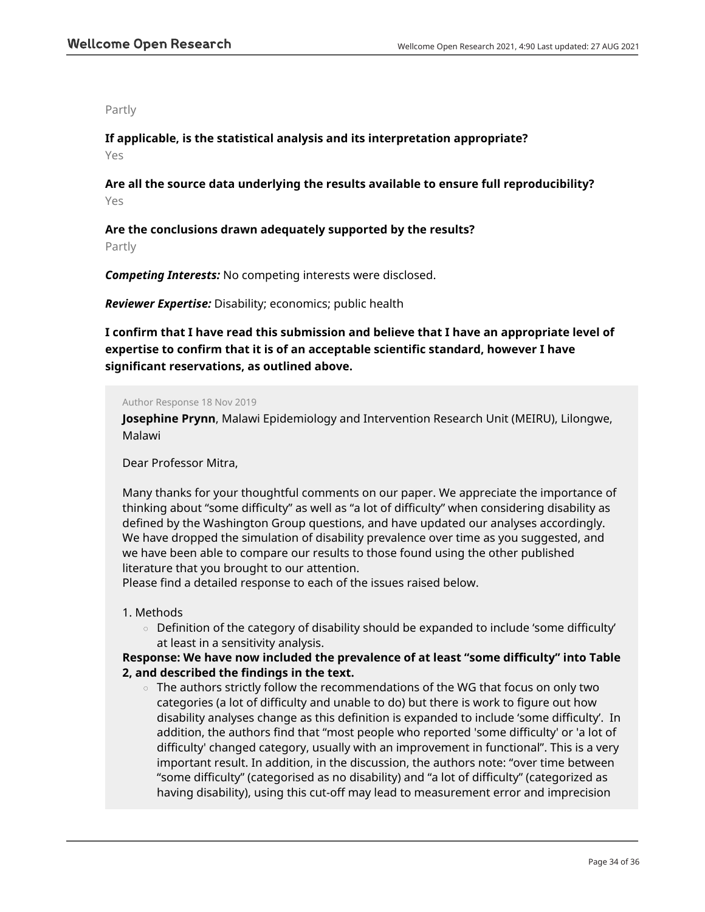#### Partly

**If applicable, is the statistical analysis and its interpretation appropriate?** Yes

**Are all the source data underlying the results available to ensure full reproducibility?** Yes

**Are the conclusions drawn adequately supported by the results?** Partly

*Competing Interests:* No competing interests were disclosed.

*Reviewer Expertise:* Disability; economics; public health

**I confirm that I have read this submission and believe that I have an appropriate level of expertise to confirm that it is of an acceptable scientific standard, however I have significant reservations, as outlined above.**

#### Author Response 18 Nov 2019

**Josephine Prynn**, Malawi Epidemiology and Intervention Research Unit (MEIRU), Lilongwe, Malawi

Dear Professor Mitra,

Many thanks for your thoughtful comments on our paper. We appreciate the importance of thinking about "some difficulty" as well as "a lot of difficulty" when considering disability as defined by the Washington Group questions, and have updated our analyses accordingly. We have dropped the simulation of disability prevalence over time as you suggested, and we have been able to compare our results to those found using the other published literature that you brought to our attention.

Please find a detailed response to each of the issues raised below.

#### 1. Methods

 $\circ$   $\,$  Definition of the category of disability should be expanded to include 'some difficulty' at least in a sensitivity analysis.

## **Response: We have now included the prevalence of at least "some difficulty" into Table 2, and described the findings in the text.**

 $\circ~$  The authors strictly follow the recommendations of the WG that focus on only two categories (a lot of difficulty and unable to do) but there is work to figure out how disability analyses change as this definition is expanded to include 'some difficulty'. In addition, the authors find that "most people who reported 'some difficulty' or 'a lot of difficulty' changed category, usually with an improvement in functional". This is a very important result. In addition, in the discussion, the authors note: "over time between "some difficulty" (categorised as no disability) and "a lot of difficulty" (categorized as having disability), using this cut-off may lead to measurement error and imprecision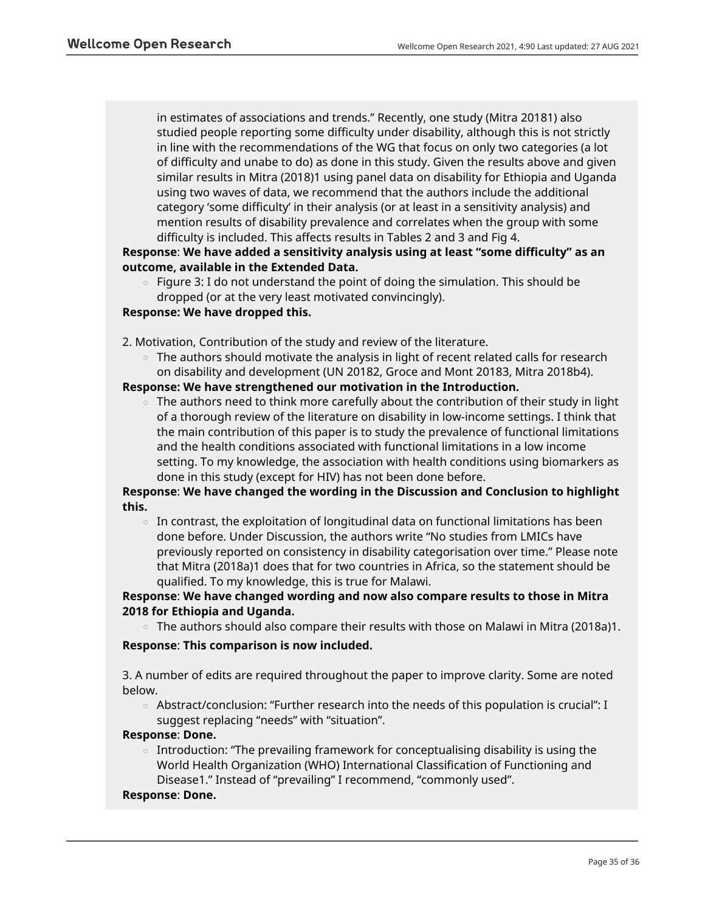in estimates of associations and trends." Recently, one study (Mitra 20181) also studied people reporting some difficulty under disability, although this is not strictly in line with the recommendations of the WG that focus on only two categories (a lot of difficulty and unabe to do) as done in this study. Given the results above and given similar results in Mitra (2018)1 using panel data on disability for Ethiopia and Uganda using two waves of data, we recommend that the authors include the additional category 'some difficulty' in their analysis (or at least in a sensitivity analysis) and mention results of disability prevalence and correlates when the group with some difficulty is included. This affects results in Tables 2 and 3 and Fig 4.

# **Response**: **We have added a sensitivity analysis using at least "some difficulty" as an outcome, available in the Extended Data.**

 $\,\circ\,\,$  Figure 3: I do not understand the point of doing the simulation. This should be dropped (or at the very least motivated convincingly).

## **Response: We have dropped this.**

- 2. Motivation, Contribution of the study and review of the literature.
	- $\circ$   $\,$  The authors should motivate the analysis in light of recent related calls for research on disability and development (UN 20182, Groce and Mont 20183, Mitra 2018b4).

## **Response: We have strengthened our motivation in the Introduction.**

 $\circ~$  The authors need to think more carefully about the contribution of their study in light of a thorough review of the literature on disability in low-income settings. I think that the main contribution of this paper is to study the prevalence of functional limitations and the health conditions associated with functional limitations in a low income setting. To my knowledge, the association with health conditions using biomarkers as done in this study (except for HIV) has not been done before.

# **Response**: **We have changed the wording in the Discussion and Conclusion to highlight this.**

 $\circ$   $\,$  In contrast, the exploitation of longitudinal data on functional limitations has been done before. Under Discussion, the authors write "No studies from LMICs have previously reported on consistency in disability categorisation over time." Please note that Mitra (2018a)1 does that for two countries in Africa, so the statement should be qualified. To my knowledge, this is true for Malawi.

# **Response**: **We have changed wording and now also compare results to those in Mitra 2018 for Ethiopia and Uganda.**

 $\circ$  The authors should also compare their results with those on Malawi in Mitra (2018a)1.

## **Response**: **This comparison is now included.**

3. A number of edits are required throughout the paper to improve clarity. Some are noted below.

 $\circ$   $\,$  Abstract/conclusion: "Further research into the needs of this population is crucial": I suggest replacing "needs" with "situation".

## **Response**: **Done.**

 $\,\circ\,$  Introduction: "The prevailing framework for conceptualising disability is using the World Health Organization (WHO) International Classification of Functioning and Disease1." Instead of "prevailing" I recommend, "commonly used".

#### **Response**: **Done.**